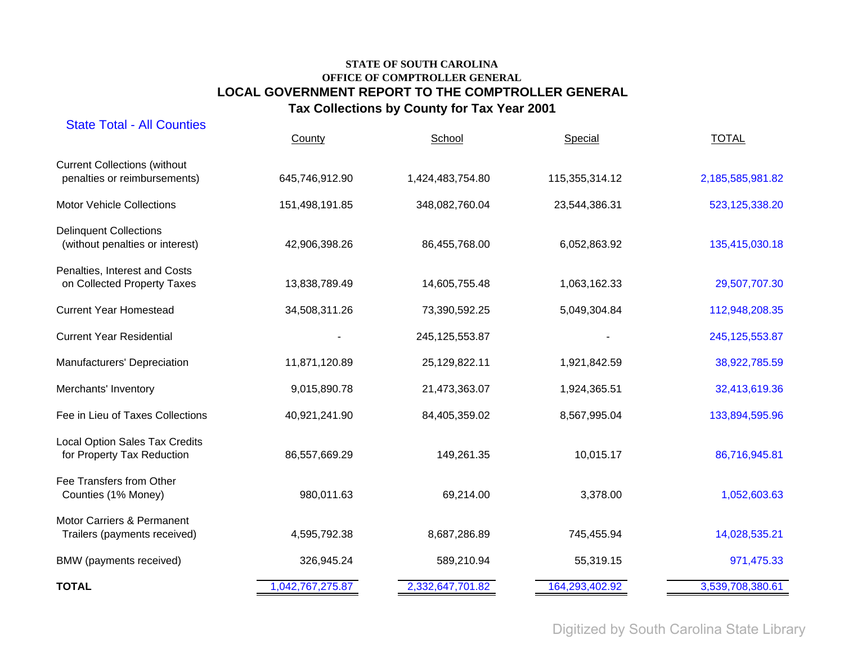| <b>State Total - All Counties</b>                                   | County           | School            | Special        | <b>TOTAL</b>     |
|---------------------------------------------------------------------|------------------|-------------------|----------------|------------------|
| <b>Current Collections (without</b><br>penalties or reimbursements) | 645,746,912.90   | 1,424,483,754.80  | 115,355,314.12 | 2,185,585,981.82 |
| <b>Motor Vehicle Collections</b>                                    | 151,498,191.85   | 348,082,760.04    | 23,544,386.31  | 523,125,338.20   |
| <b>Delinquent Collections</b><br>(without penalties or interest)    | 42,906,398.26    | 86,455,768.00     | 6,052,863.92   | 135,415,030.18   |
| Penalties, Interest and Costs<br>on Collected Property Taxes        | 13,838,789.49    | 14,605,755.48     | 1,063,162.33   | 29,507,707.30    |
| <b>Current Year Homestead</b>                                       | 34,508,311.26    | 73,390,592.25     | 5,049,304.84   | 112,948,208.35   |
| <b>Current Year Residential</b>                                     |                  | 245, 125, 553. 87 |                | 245, 125, 553.87 |
| Manufacturers' Depreciation                                         | 11,871,120.89    | 25,129,822.11     | 1,921,842.59   | 38,922,785.59    |
| Merchants' Inventory                                                | 9,015,890.78     | 21,473,363.07     | 1,924,365.51   | 32,413,619.36    |
| Fee in Lieu of Taxes Collections                                    | 40,921,241.90    | 84,405,359.02     | 8,567,995.04   | 133,894,595.96   |
| <b>Local Option Sales Tax Credits</b><br>for Property Tax Reduction | 86,557,669.29    | 149,261.35        | 10,015.17      | 86,716,945.81    |
| Fee Transfers from Other<br>Counties (1% Money)                     | 980,011.63       | 69,214.00         | 3,378.00       | 1,052,603.63     |
| Motor Carriers & Permanent<br>Trailers (payments received)          | 4,595,792.38     | 8,687,286.89      | 745,455.94     | 14,028,535.21    |
| BMW (payments received)                                             | 326,945.24       | 589,210.94        | 55,319.15      | 971,475.33       |
| <b>TOTAL</b>                                                        | 1,042,767,275.87 | 2,332,647,701.82  | 164,293,402.92 | 3,539,708,380.61 |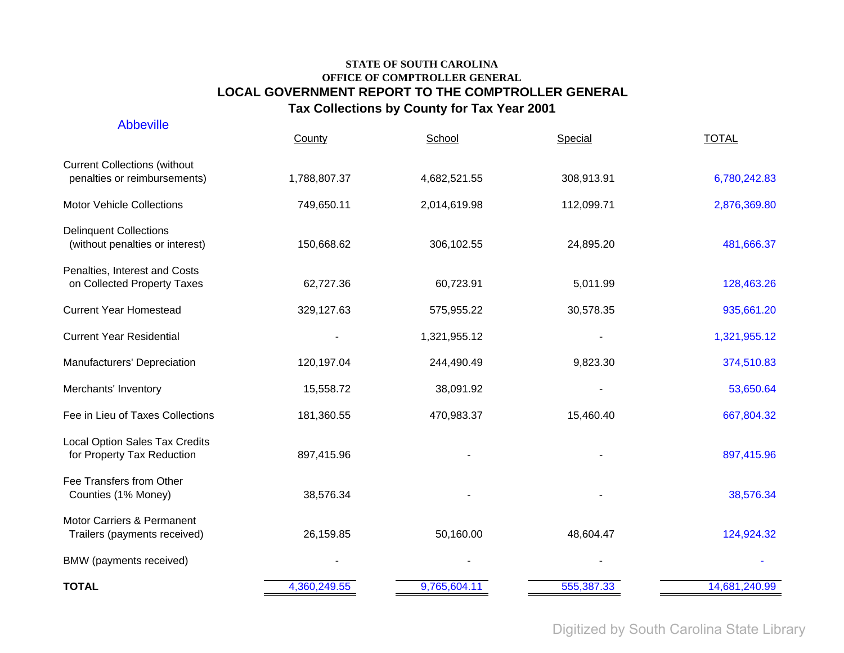| <b>Abbeville</b>                                                    | County       | School       | Special    | <b>TOTAL</b>  |
|---------------------------------------------------------------------|--------------|--------------|------------|---------------|
| <b>Current Collections (without</b><br>penalties or reimbursements) | 1,788,807.37 | 4,682,521.55 | 308,913.91 | 6,780,242.83  |
| <b>Motor Vehicle Collections</b>                                    | 749,650.11   | 2,014,619.98 | 112,099.71 | 2,876,369.80  |
| <b>Delinquent Collections</b><br>(without penalties or interest)    | 150,668.62   | 306,102.55   | 24,895.20  | 481,666.37    |
| Penalties, Interest and Costs<br>on Collected Property Taxes        | 62,727.36    | 60,723.91    | 5,011.99   | 128,463.26    |
| <b>Current Year Homestead</b>                                       | 329,127.63   | 575,955.22   | 30,578.35  | 935,661.20    |
| <b>Current Year Residential</b>                                     |              | 1,321,955.12 |            | 1,321,955.12  |
| Manufacturers' Depreciation                                         | 120,197.04   | 244,490.49   | 9,823.30   | 374,510.83    |
| Merchants' Inventory                                                | 15,558.72    | 38,091.92    |            | 53,650.64     |
| Fee in Lieu of Taxes Collections                                    | 181,360.55   | 470,983.37   | 15,460.40  | 667,804.32    |
| <b>Local Option Sales Tax Credits</b><br>for Property Tax Reduction | 897,415.96   |              |            | 897,415.96    |
| Fee Transfers from Other<br>Counties (1% Money)                     | 38,576.34    |              |            | 38,576.34     |
| Motor Carriers & Permanent<br>Trailers (payments received)          | 26,159.85    | 50,160.00    | 48,604.47  | 124,924.32    |
| BMW (payments received)                                             |              |              |            |               |
| <b>TOTAL</b>                                                        | 4,360,249.55 | 9,765,604.11 | 555,387.33 | 14,681,240.99 |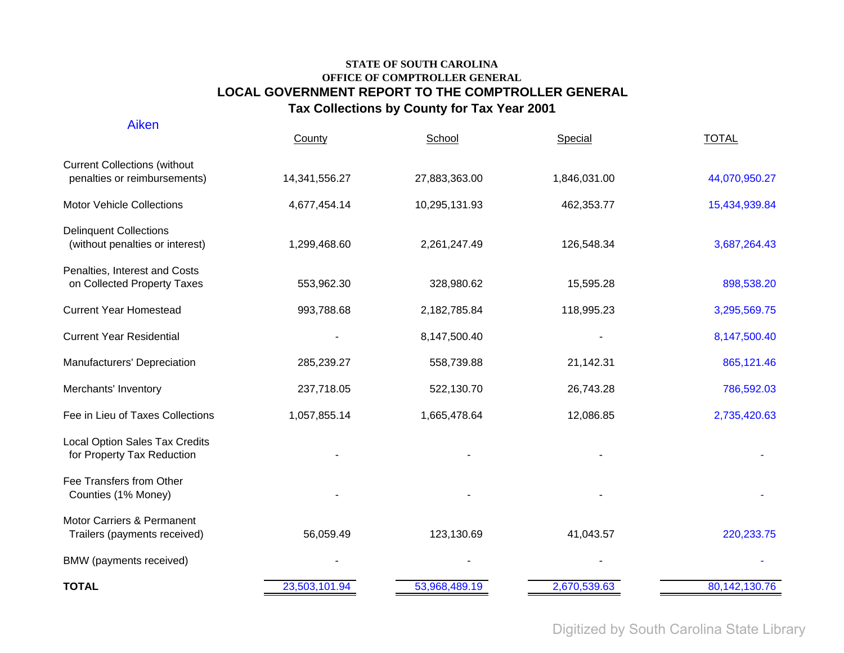| <b>Aiken</b>                                                        | County        | School        | Special      | <b>TOTAL</b>  |
|---------------------------------------------------------------------|---------------|---------------|--------------|---------------|
| <b>Current Collections (without</b><br>penalties or reimbursements) | 14,341,556.27 | 27,883,363.00 | 1,846,031.00 | 44,070,950.27 |
| <b>Motor Vehicle Collections</b>                                    | 4,677,454.14  | 10,295,131.93 | 462,353.77   | 15,434,939.84 |
| <b>Delinquent Collections</b><br>(without penalties or interest)    | 1,299,468.60  | 2,261,247.49  | 126,548.34   | 3,687,264.43  |
| Penalties, Interest and Costs<br>on Collected Property Taxes        | 553,962.30    | 328,980.62    | 15,595.28    | 898,538.20    |
| <b>Current Year Homestead</b>                                       | 993,788.68    | 2,182,785.84  | 118,995.23   | 3,295,569.75  |
| <b>Current Year Residential</b>                                     |               | 8,147,500.40  |              | 8,147,500.40  |
| Manufacturers' Depreciation                                         | 285,239.27    | 558,739.88    | 21,142.31    | 865,121.46    |
| Merchants' Inventory                                                | 237,718.05    | 522,130.70    | 26,743.28    | 786,592.03    |
| Fee in Lieu of Taxes Collections                                    | 1,057,855.14  | 1,665,478.64  | 12,086.85    | 2,735,420.63  |
| Local Option Sales Tax Credits<br>for Property Tax Reduction        |               |               |              |               |
| Fee Transfers from Other<br>Counties (1% Money)                     |               |               |              |               |
| Motor Carriers & Permanent<br>Trailers (payments received)          | 56,059.49     | 123,130.69    | 41,043.57    | 220, 233. 75  |
| BMW (payments received)                                             |               |               |              |               |
| <b>TOTAL</b>                                                        | 23,503,101.94 | 53,968,489.19 | 2,670,539.63 | 80,142,130.76 |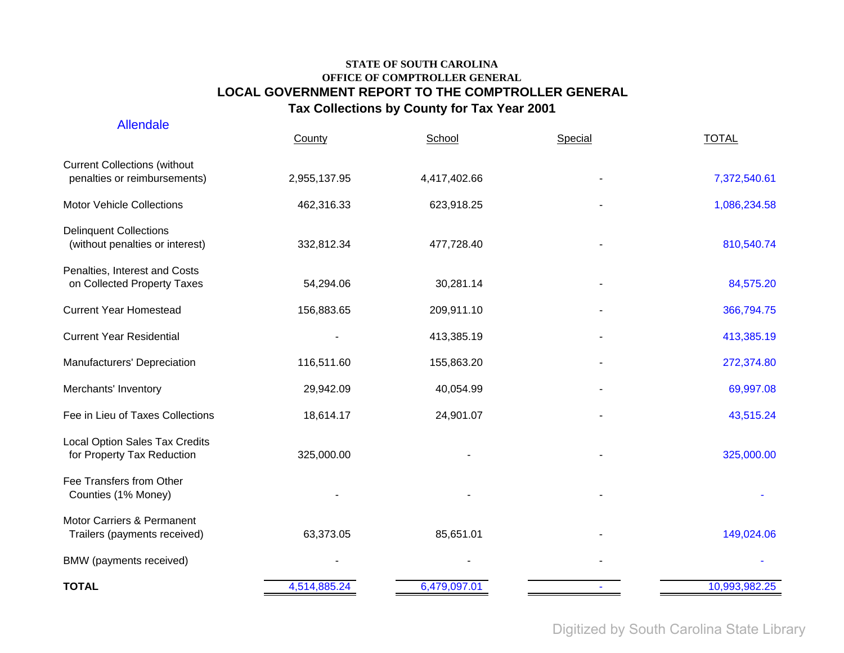| <b>Allendale</b>                                                    | County       | School       | Special | <b>TOTAL</b>  |
|---------------------------------------------------------------------|--------------|--------------|---------|---------------|
| <b>Current Collections (without</b><br>penalties or reimbursements) | 2,955,137.95 | 4,417,402.66 |         | 7,372,540.61  |
| <b>Motor Vehicle Collections</b>                                    | 462,316.33   | 623,918.25   |         | 1,086,234.58  |
| <b>Delinquent Collections</b><br>(without penalties or interest)    | 332,812.34   | 477,728.40   |         | 810,540.74    |
| Penalties, Interest and Costs<br>on Collected Property Taxes        | 54,294.06    | 30,281.14    |         | 84,575.20     |
| <b>Current Year Homestead</b>                                       | 156,883.65   | 209,911.10   |         | 366,794.75    |
| <b>Current Year Residential</b>                                     |              | 413,385.19   |         | 413,385.19    |
| Manufacturers' Depreciation                                         | 116,511.60   | 155,863.20   |         | 272,374.80    |
| Merchants' Inventory                                                | 29,942.09    | 40,054.99    |         | 69,997.08     |
| Fee in Lieu of Taxes Collections                                    | 18,614.17    | 24,901.07    |         | 43,515.24     |
| Local Option Sales Tax Credits<br>for Property Tax Reduction        | 325,000.00   |              |         | 325,000.00    |
| Fee Transfers from Other<br>Counties (1% Money)                     |              |              |         |               |
| Motor Carriers & Permanent<br>Trailers (payments received)          | 63,373.05    | 85,651.01    |         | 149,024.06    |
| BMW (payments received)                                             |              |              |         |               |
| <b>TOTAL</b>                                                        | 4,514,885.24 | 6,479,097.01 |         | 10,993,982.25 |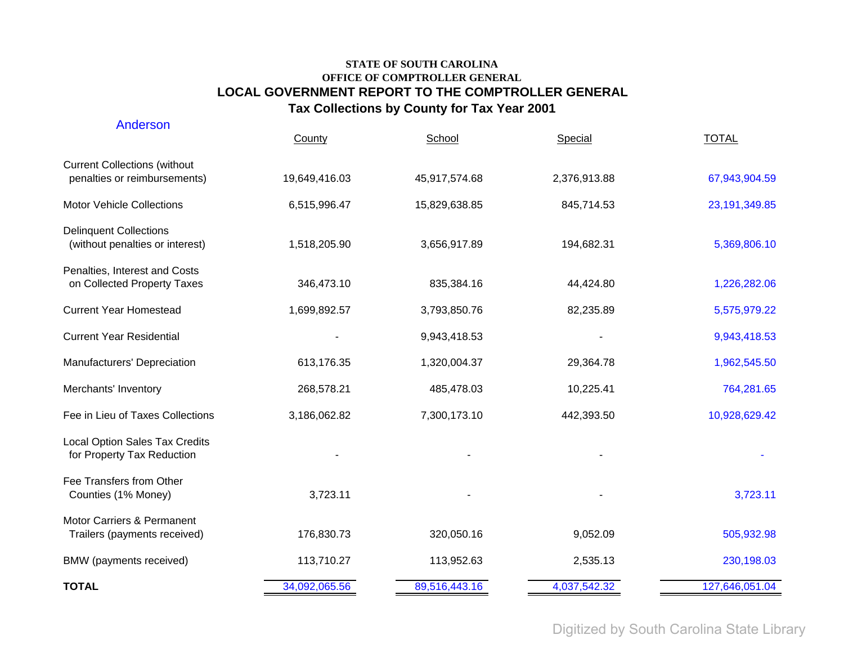| Anderson                                                            | County        | School        | Special      | <b>TOTAL</b>    |
|---------------------------------------------------------------------|---------------|---------------|--------------|-----------------|
| <b>Current Collections (without</b><br>penalties or reimbursements) | 19,649,416.03 | 45,917,574.68 | 2,376,913.88 | 67,943,904.59   |
| <b>Motor Vehicle Collections</b>                                    | 6,515,996.47  | 15,829,638.85 | 845,714.53   | 23, 191, 349.85 |
| <b>Delinquent Collections</b><br>(without penalties or interest)    | 1,518,205.90  | 3,656,917.89  | 194,682.31   | 5,369,806.10    |
| Penalties, Interest and Costs<br>on Collected Property Taxes        | 346,473.10    | 835,384.16    | 44,424.80    | 1,226,282.06    |
| <b>Current Year Homestead</b>                                       | 1,699,892.57  | 3,793,850.76  | 82,235.89    | 5,575,979.22    |
| <b>Current Year Residential</b>                                     |               | 9,943,418.53  |              | 9,943,418.53    |
| Manufacturers' Depreciation                                         | 613,176.35    | 1,320,004.37  | 29,364.78    | 1,962,545.50    |
| Merchants' Inventory                                                | 268,578.21    | 485,478.03    | 10,225.41    | 764,281.65      |
| Fee in Lieu of Taxes Collections                                    | 3,186,062.82  | 7,300,173.10  | 442,393.50   | 10,928,629.42   |
| <b>Local Option Sales Tax Credits</b><br>for Property Tax Reduction |               |               |              |                 |
| Fee Transfers from Other<br>Counties (1% Money)                     | 3,723.11      |               |              | 3,723.11        |
| Motor Carriers & Permanent<br>Trailers (payments received)          | 176,830.73    | 320,050.16    | 9,052.09     | 505,932.98      |
| BMW (payments received)                                             | 113,710.27    | 113,952.63    | 2,535.13     | 230,198.03      |
| <b>TOTAL</b>                                                        | 34,092,065.56 | 89,516,443.16 | 4,037,542.32 | 127,646,051.04  |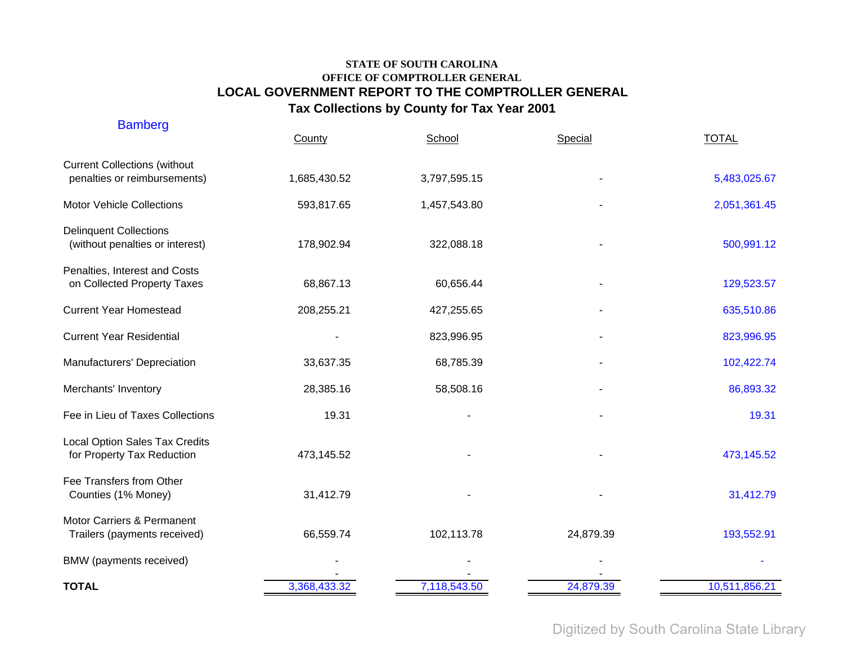| <b>Bamberg</b>                                                      | County       | School       | Special   | <b>TOTAL</b>  |
|---------------------------------------------------------------------|--------------|--------------|-----------|---------------|
| <b>Current Collections (without</b><br>penalties or reimbursements) | 1,685,430.52 | 3,797,595.15 |           | 5,483,025.67  |
| <b>Motor Vehicle Collections</b>                                    | 593,817.65   | 1,457,543.80 |           | 2,051,361.45  |
| <b>Delinquent Collections</b><br>(without penalties or interest)    | 178,902.94   | 322,088.18   |           | 500,991.12    |
| Penalties, Interest and Costs<br>on Collected Property Taxes        | 68,867.13    | 60,656.44    |           | 129,523.57    |
| <b>Current Year Homestead</b>                                       | 208,255.21   | 427,255.65   |           | 635,510.86    |
| <b>Current Year Residential</b>                                     |              | 823,996.95   |           | 823,996.95    |
| Manufacturers' Depreciation                                         | 33,637.35    | 68,785.39    |           | 102,422.74    |
| Merchants' Inventory                                                | 28,385.16    | 58,508.16    |           | 86,893.32     |
| Fee in Lieu of Taxes Collections                                    | 19.31        |              |           | 19.31         |
| <b>Local Option Sales Tax Credits</b><br>for Property Tax Reduction | 473,145.52   |              |           | 473,145.52    |
| Fee Transfers from Other<br>Counties (1% Money)                     | 31,412.79    |              |           | 31,412.79     |
| Motor Carriers & Permanent<br>Trailers (payments received)          | 66,559.74    | 102,113.78   | 24,879.39 | 193,552.91    |
| BMW (payments received)                                             |              |              |           |               |
| <b>TOTAL</b>                                                        | 3,368,433.32 | 7,118,543.50 | 24,879.39 | 10,511,856.21 |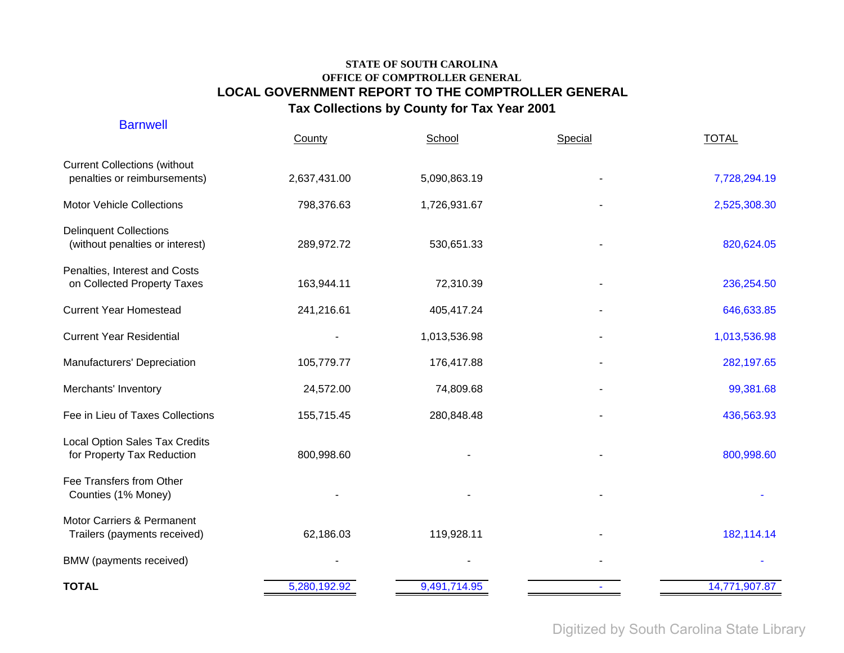| <b>Barnwell</b>                                                     | County       | School       | Special | <b>TOTAL</b>  |
|---------------------------------------------------------------------|--------------|--------------|---------|---------------|
| <b>Current Collections (without</b><br>penalties or reimbursements) | 2,637,431.00 | 5,090,863.19 |         | 7,728,294.19  |
| <b>Motor Vehicle Collections</b>                                    | 798,376.63   | 1,726,931.67 |         | 2,525,308.30  |
| <b>Delinquent Collections</b><br>(without penalties or interest)    | 289,972.72   | 530,651.33   |         | 820,624.05    |
| Penalties, Interest and Costs<br>on Collected Property Taxes        | 163,944.11   | 72,310.39    |         | 236,254.50    |
| <b>Current Year Homestead</b>                                       | 241,216.61   | 405,417.24   |         | 646,633.85    |
| <b>Current Year Residential</b>                                     |              | 1,013,536.98 |         | 1,013,536.98  |
| Manufacturers' Depreciation                                         | 105,779.77   | 176,417.88   |         | 282,197.65    |
| Merchants' Inventory                                                | 24,572.00    | 74,809.68    |         | 99,381.68     |
| Fee in Lieu of Taxes Collections                                    | 155,715.45   | 280,848.48   |         | 436,563.93    |
| <b>Local Option Sales Tax Credits</b><br>for Property Tax Reduction | 800,998.60   |              |         | 800,998.60    |
| Fee Transfers from Other<br>Counties (1% Money)                     |              |              |         |               |
| Motor Carriers & Permanent<br>Trailers (payments received)          | 62,186.03    | 119,928.11   |         | 182,114.14    |
| BMW (payments received)                                             |              |              |         |               |
| <b>TOTAL</b>                                                        | 5,280,192.92 | 9,491,714.95 |         | 14,771,907.87 |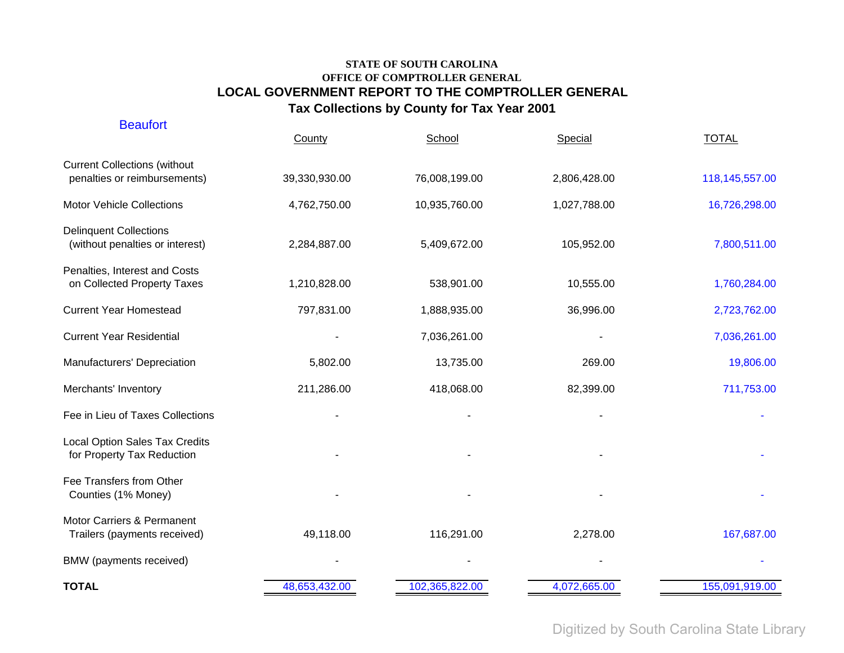| <b>Beaufort</b>                                                     | County        | School        | Special      | <b>TOTAL</b>   |
|---------------------------------------------------------------------|---------------|---------------|--------------|----------------|
| <b>Current Collections (without</b><br>penalties or reimbursements) | 39,330,930.00 | 76,008,199.00 | 2,806,428.00 | 118,145,557.00 |
| <b>Motor Vehicle Collections</b>                                    | 4,762,750.00  | 10,935,760.00 | 1,027,788.00 | 16,726,298.00  |
| <b>Delinquent Collections</b><br>(without penalties or interest)    | 2,284,887.00  | 5,409,672.00  | 105,952.00   | 7,800,511.00   |
| Penalties, Interest and Costs<br>on Collected Property Taxes        | 1,210,828.00  | 538,901.00    | 10,555.00    | 1,760,284.00   |
| <b>Current Year Homestead</b>                                       | 797,831.00    | 1,888,935.00  | 36,996.00    | 2,723,762.00   |
| <b>Current Year Residential</b>                                     |               | 7,036,261.00  |              | 7,036,261.00   |
| Manufacturers' Depreciation                                         | 5,802.00      | 13,735.00     | 269.00       | 19,806.00      |
| Merchants' Inventory                                                | 211,286.00    | 418,068.00    | 82,399.00    | 711,753.00     |
| Fee in Lieu of Taxes Collections                                    |               |               |              |                |
| Local Option Sales Tax Credits<br>for Property Tax Reduction        |               |               |              |                |
| Fee Transfers from Other<br>Counties (1% Money)                     |               |               |              |                |
| Motor Carriers & Permanent<br>Trailers (payments received)          | 49,118.00     | 116,291.00    | 2,278.00     | 167,687.00     |
| BMW (payments received)                                             |               |               |              |                |
|                                                                     |               |               |              |                |

**TOTAL**

Digitized by South Carolina State Library

48,653,432.00 4,072,665.00 102,365,822.00 155,091,919.00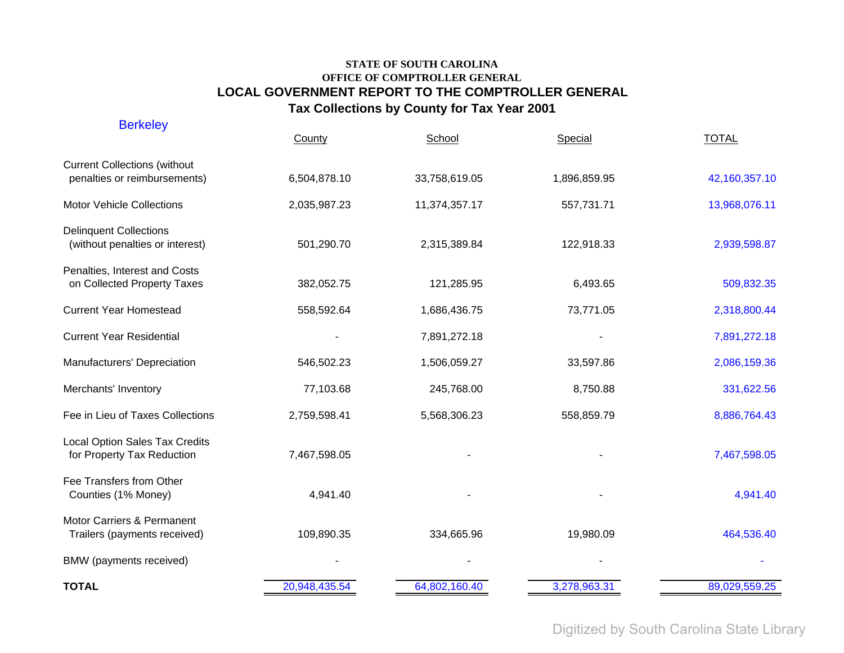| <b>Berkeley</b>                                                     | County        | School        | Special      | <b>TOTAL</b>  |
|---------------------------------------------------------------------|---------------|---------------|--------------|---------------|
| <b>Current Collections (without</b><br>penalties or reimbursements) | 6,504,878.10  | 33,758,619.05 | 1,896,859.95 | 42,160,357.10 |
| <b>Motor Vehicle Collections</b>                                    | 2,035,987.23  | 11,374,357.17 | 557,731.71   | 13,968,076.11 |
| <b>Delinquent Collections</b><br>(without penalties or interest)    | 501,290.70    | 2,315,389.84  | 122,918.33   | 2,939,598.87  |
| Penalties, Interest and Costs<br>on Collected Property Taxes        | 382,052.75    | 121,285.95    | 6,493.65     | 509,832.35    |
| <b>Current Year Homestead</b>                                       | 558,592.64    | 1,686,436.75  | 73,771.05    | 2,318,800.44  |
| <b>Current Year Residential</b>                                     |               | 7,891,272.18  |              | 7,891,272.18  |
| Manufacturers' Depreciation                                         | 546,502.23    | 1,506,059.27  | 33,597.86    | 2,086,159.36  |
| Merchants' Inventory                                                | 77,103.68     | 245,768.00    | 8,750.88     | 331,622.56    |
| Fee in Lieu of Taxes Collections                                    | 2,759,598.41  | 5,568,306.23  | 558,859.79   | 8,886,764.43  |
| <b>Local Option Sales Tax Credits</b><br>for Property Tax Reduction | 7,467,598.05  |               |              | 7,467,598.05  |
| Fee Transfers from Other<br>Counties (1% Money)                     | 4,941.40      |               |              | 4,941.40      |
| Motor Carriers & Permanent<br>Trailers (payments received)          | 109,890.35    | 334,665.96    | 19,980.09    | 464,536.40    |
| BMW (payments received)                                             |               |               |              |               |
| <b>TOTAL</b>                                                        | 20,948,435.54 | 64,802,160.40 | 3,278,963.31 | 89,029,559.25 |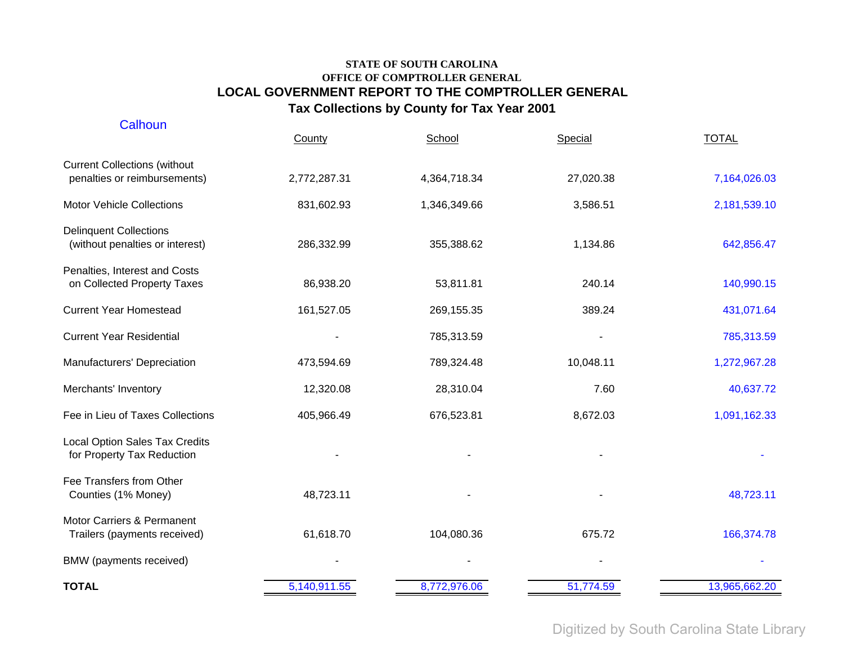| Calhoun                                                             | County       | School       | Special   | <b>TOTAL</b>  |
|---------------------------------------------------------------------|--------------|--------------|-----------|---------------|
| <b>Current Collections (without</b><br>penalties or reimbursements) | 2,772,287.31 | 4,364,718.34 | 27,020.38 | 7,164,026.03  |
| <b>Motor Vehicle Collections</b>                                    | 831,602.93   | 1,346,349.66 | 3,586.51  | 2,181,539.10  |
| <b>Delinquent Collections</b><br>(without penalties or interest)    | 286,332.99   | 355,388.62   | 1,134.86  | 642,856.47    |
| Penalties, Interest and Costs<br>on Collected Property Taxes        | 86,938.20    | 53,811.81    | 240.14    | 140,990.15    |
| <b>Current Year Homestead</b>                                       | 161,527.05   | 269,155.35   | 389.24    | 431,071.64    |
| <b>Current Year Residential</b>                                     |              | 785,313.59   |           | 785,313.59    |
| Manufacturers' Depreciation                                         | 473,594.69   | 789,324.48   | 10,048.11 | 1,272,967.28  |
| Merchants' Inventory                                                | 12,320.08    | 28,310.04    | 7.60      | 40,637.72     |
| Fee in Lieu of Taxes Collections                                    | 405,966.49   | 676,523.81   | 8,672.03  | 1,091,162.33  |
| <b>Local Option Sales Tax Credits</b><br>for Property Tax Reduction |              |              |           |               |
| Fee Transfers from Other<br>Counties (1% Money)                     | 48,723.11    |              |           | 48,723.11     |
| Motor Carriers & Permanent<br>Trailers (payments received)          | 61,618.70    | 104,080.36   | 675.72    | 166,374.78    |
| BMW (payments received)                                             |              |              |           |               |
| <b>TOTAL</b>                                                        | 5,140,911.55 | 8,772,976.06 | 51,774.59 | 13,965,662.20 |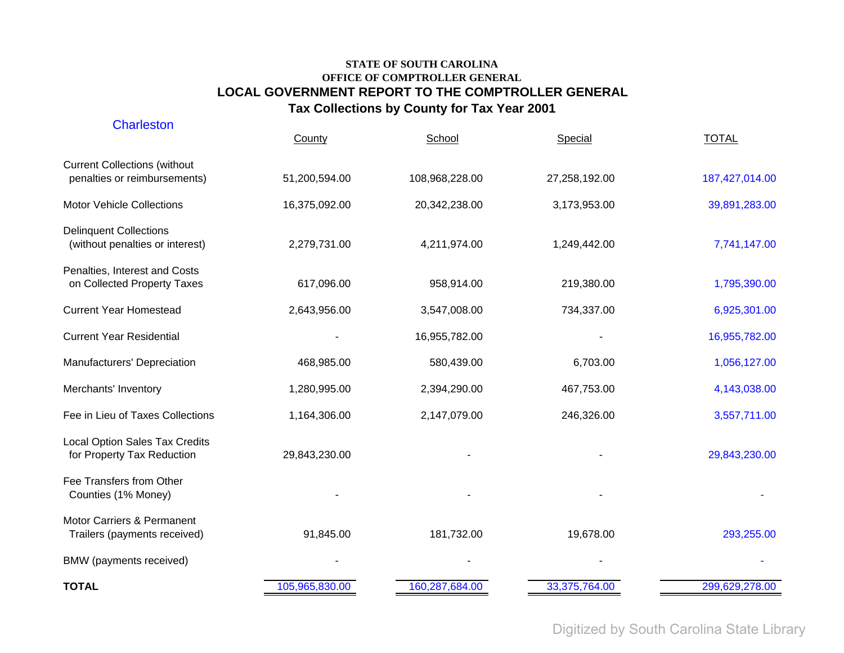| <b>Charleston</b>                                                   | County         | School         | Special       | <b>TOTAL</b>   |
|---------------------------------------------------------------------|----------------|----------------|---------------|----------------|
| <b>Current Collections (without</b><br>penalties or reimbursements) | 51,200,594.00  | 108,968,228.00 | 27,258,192.00 | 187,427,014.00 |
| <b>Motor Vehicle Collections</b>                                    | 16,375,092.00  | 20,342,238.00  | 3,173,953.00  | 39,891,283.00  |
| <b>Delinquent Collections</b><br>(without penalties or interest)    | 2,279,731.00   | 4,211,974.00   | 1,249,442.00  | 7,741,147.00   |
| Penalties, Interest and Costs<br>on Collected Property Taxes        | 617,096.00     | 958,914.00     | 219,380.00    | 1,795,390.00   |
| <b>Current Year Homestead</b>                                       | 2,643,956.00   | 3,547,008.00   | 734,337.00    | 6,925,301.00   |
| <b>Current Year Residential</b>                                     |                | 16,955,782.00  |               | 16,955,782.00  |
| Manufacturers' Depreciation                                         | 468,985.00     | 580,439.00     | 6,703.00      | 1,056,127.00   |
| Merchants' Inventory                                                | 1,280,995.00   | 2,394,290.00   | 467,753.00    | 4,143,038.00   |
| Fee in Lieu of Taxes Collections                                    | 1,164,306.00   | 2,147,079.00   | 246,326.00    | 3,557,711.00   |
| <b>Local Option Sales Tax Credits</b><br>for Property Tax Reduction | 29,843,230.00  |                |               | 29,843,230.00  |
| Fee Transfers from Other<br>Counties (1% Money)                     |                |                |               |                |
| Motor Carriers & Permanent<br>Trailers (payments received)          | 91,845.00      | 181,732.00     | 19,678.00     | 293,255.00     |
| BMW (payments received)                                             |                |                |               |                |
| <b>TOTAL</b>                                                        | 105,965,830.00 | 160,287,684.00 | 33,375,764.00 | 299,629,278.00 |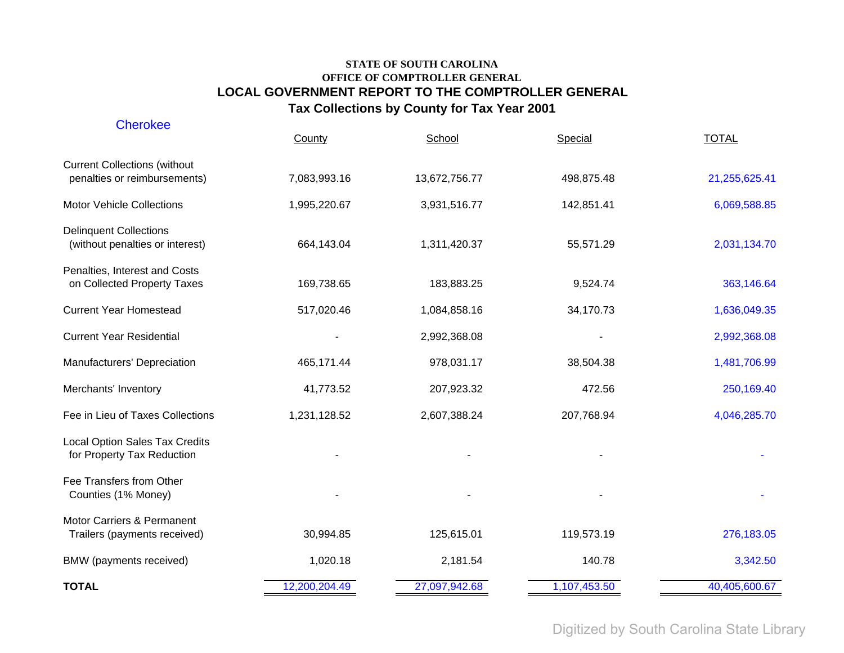| <b>Cherokee</b>                                                     | County        | School        | Special      | <b>TOTAL</b>  |
|---------------------------------------------------------------------|---------------|---------------|--------------|---------------|
| <b>Current Collections (without</b><br>penalties or reimbursements) | 7,083,993.16  | 13,672,756.77 | 498,875.48   | 21,255,625.41 |
| <b>Motor Vehicle Collections</b>                                    | 1,995,220.67  | 3,931,516.77  | 142,851.41   | 6,069,588.85  |
| <b>Delinquent Collections</b><br>(without penalties or interest)    | 664,143.04    | 1,311,420.37  | 55,571.29    | 2,031,134.70  |
| Penalties, Interest and Costs<br>on Collected Property Taxes        | 169,738.65    | 183,883.25    | 9,524.74     | 363,146.64    |
| <b>Current Year Homestead</b>                                       | 517,020.46    | 1,084,858.16  | 34,170.73    | 1,636,049.35  |
| <b>Current Year Residential</b>                                     |               | 2,992,368.08  |              | 2,992,368.08  |
| Manufacturers' Depreciation                                         | 465,171.44    | 978,031.17    | 38,504.38    | 1,481,706.99  |
| Merchants' Inventory                                                | 41,773.52     | 207,923.32    | 472.56       | 250,169.40    |
| Fee in Lieu of Taxes Collections                                    | 1,231,128.52  | 2,607,388.24  | 207,768.94   | 4,046,285.70  |
| <b>Local Option Sales Tax Credits</b><br>for Property Tax Reduction |               |               |              |               |
| Fee Transfers from Other<br>Counties (1% Money)                     |               |               |              |               |
| Motor Carriers & Permanent<br>Trailers (payments received)          | 30,994.85     | 125,615.01    | 119,573.19   | 276,183.05    |
| BMW (payments received)                                             | 1,020.18      | 2,181.54      | 140.78       | 3,342.50      |
| <b>TOTAL</b>                                                        | 12,200,204.49 | 27,097,942.68 | 1,107,453.50 | 40,405,600.67 |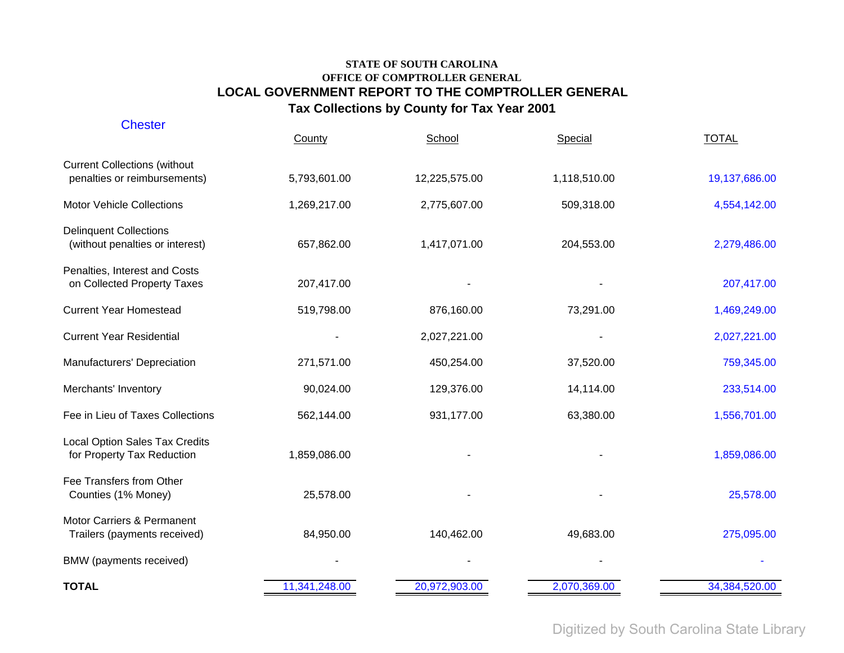| <b>Chester</b>                                                      | County        | School        | Special      | <b>TOTAL</b>  |
|---------------------------------------------------------------------|---------------|---------------|--------------|---------------|
| <b>Current Collections (without</b><br>penalties or reimbursements) | 5,793,601.00  | 12,225,575.00 | 1,118,510.00 | 19,137,686.00 |
| <b>Motor Vehicle Collections</b>                                    | 1,269,217.00  | 2,775,607.00  | 509,318.00   | 4,554,142.00  |
| <b>Delinquent Collections</b><br>(without penalties or interest)    | 657,862.00    | 1,417,071.00  | 204,553.00   | 2,279,486.00  |
| Penalties, Interest and Costs<br>on Collected Property Taxes        | 207,417.00    |               |              | 207,417.00    |
| <b>Current Year Homestead</b>                                       | 519,798.00    | 876,160.00    | 73,291.00    | 1,469,249.00  |
| <b>Current Year Residential</b>                                     |               | 2,027,221.00  |              | 2,027,221.00  |
| Manufacturers' Depreciation                                         | 271,571.00    | 450,254.00    | 37,520.00    | 759,345.00    |
| Merchants' Inventory                                                | 90,024.00     | 129,376.00    | 14,114.00    | 233,514.00    |
| Fee in Lieu of Taxes Collections                                    | 562,144.00    | 931,177.00    | 63,380.00    | 1,556,701.00  |
| <b>Local Option Sales Tax Credits</b><br>for Property Tax Reduction | 1,859,086.00  |               |              | 1,859,086.00  |
| Fee Transfers from Other<br>Counties (1% Money)                     | 25,578.00     |               |              | 25,578.00     |
| Motor Carriers & Permanent<br>Trailers (payments received)          | 84,950.00     | 140,462.00    | 49,683.00    | 275,095.00    |
| BMW (payments received)                                             |               |               |              |               |
| <b>TOTAL</b>                                                        | 11,341,248.00 | 20,972,903.00 | 2,070,369.00 | 34,384,520.00 |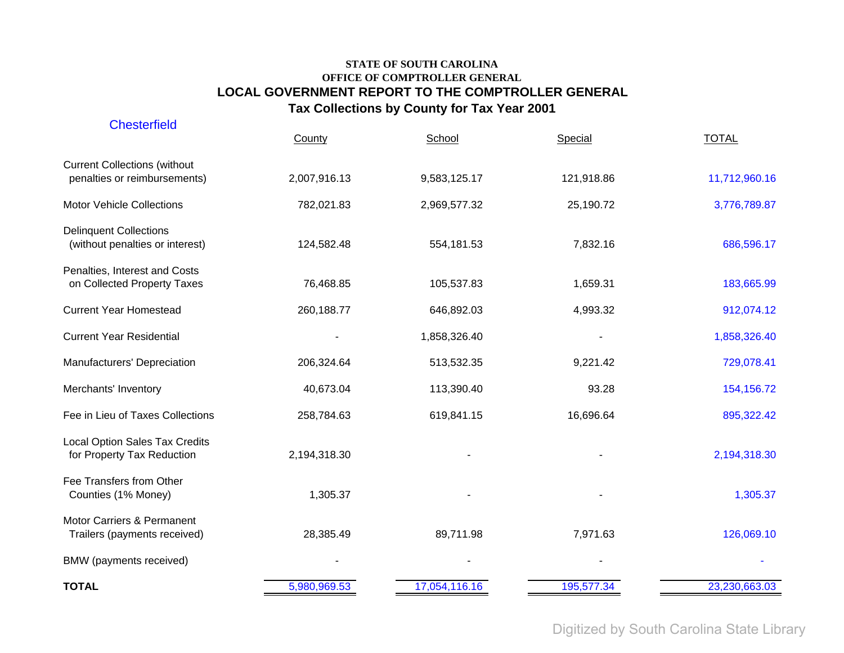| <b>Chesterfield</b>                                                 | County       | School        | Special    | <b>TOTAL</b>  |
|---------------------------------------------------------------------|--------------|---------------|------------|---------------|
| <b>Current Collections (without</b><br>penalties or reimbursements) | 2,007,916.13 | 9,583,125.17  | 121,918.86 | 11,712,960.16 |
| <b>Motor Vehicle Collections</b>                                    | 782,021.83   | 2,969,577.32  | 25,190.72  | 3,776,789.87  |
| <b>Delinquent Collections</b><br>(without penalties or interest)    | 124,582.48   | 554,181.53    | 7,832.16   | 686,596.17    |
| Penalties, Interest and Costs<br>on Collected Property Taxes        | 76,468.85    | 105,537.83    | 1,659.31   | 183,665.99    |
| <b>Current Year Homestead</b>                                       | 260,188.77   | 646,892.03    | 4,993.32   | 912,074.12    |
| <b>Current Year Residential</b>                                     |              | 1,858,326.40  |            | 1,858,326.40  |
| Manufacturers' Depreciation                                         | 206,324.64   | 513,532.35    | 9,221.42   | 729,078.41    |
| Merchants' Inventory                                                | 40,673.04    | 113,390.40    | 93.28      | 154, 156. 72  |
| Fee in Lieu of Taxes Collections                                    | 258,784.63   | 619,841.15    | 16,696.64  | 895,322.42    |
| <b>Local Option Sales Tax Credits</b><br>for Property Tax Reduction | 2,194,318.30 |               |            | 2,194,318.30  |
| Fee Transfers from Other<br>Counties (1% Money)                     | 1,305.37     |               |            | 1,305.37      |
| Motor Carriers & Permanent<br>Trailers (payments received)          | 28,385.49    | 89,711.98     | 7,971.63   | 126,069.10    |
| BMW (payments received)                                             |              |               |            |               |
| <b>TOTAL</b>                                                        | 5,980,969.53 | 17,054,116.16 | 195,577.34 | 23,230,663.03 |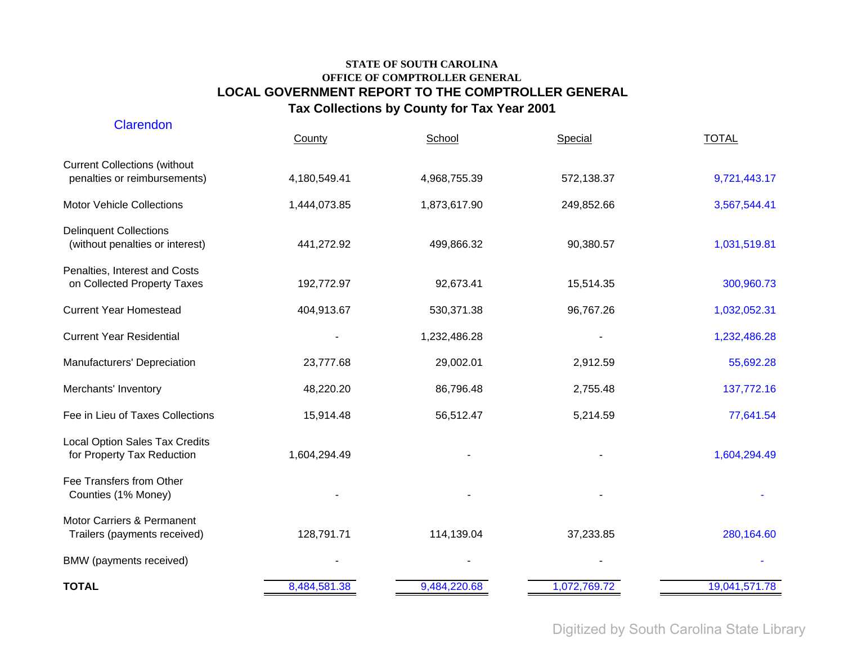| Clarendon                                                           | County       | School       | Special      | <b>TOTAL</b>  |
|---------------------------------------------------------------------|--------------|--------------|--------------|---------------|
| <b>Current Collections (without</b><br>penalties or reimbursements) | 4,180,549.41 | 4,968,755.39 | 572,138.37   | 9,721,443.17  |
| <b>Motor Vehicle Collections</b>                                    | 1,444,073.85 | 1,873,617.90 | 249,852.66   | 3,567,544.41  |
| <b>Delinquent Collections</b><br>(without penalties or interest)    | 441,272.92   | 499,866.32   | 90,380.57    | 1,031,519.81  |
| Penalties, Interest and Costs<br>on Collected Property Taxes        | 192,772.97   | 92,673.41    | 15,514.35    | 300,960.73    |
| <b>Current Year Homestead</b>                                       | 404,913.67   | 530,371.38   | 96,767.26    | 1,032,052.31  |
| <b>Current Year Residential</b>                                     |              | 1,232,486.28 |              | 1,232,486.28  |
| Manufacturers' Depreciation                                         | 23,777.68    | 29,002.01    | 2,912.59     | 55,692.28     |
| Merchants' Inventory                                                | 48,220.20    | 86,796.48    | 2,755.48     | 137,772.16    |
| Fee in Lieu of Taxes Collections                                    | 15,914.48    | 56,512.47    | 5,214.59     | 77,641.54     |
| <b>Local Option Sales Tax Credits</b><br>for Property Tax Reduction | 1,604,294.49 |              |              | 1,604,294.49  |
| Fee Transfers from Other<br>Counties (1% Money)                     |              |              |              |               |
| Motor Carriers & Permanent<br>Trailers (payments received)          | 128,791.71   | 114,139.04   | 37,233.85    | 280,164.60    |
| BMW (payments received)                                             |              |              |              |               |
| <b>TOTAL</b>                                                        | 8,484,581.38 | 9,484,220.68 | 1,072,769.72 | 19,041,571.78 |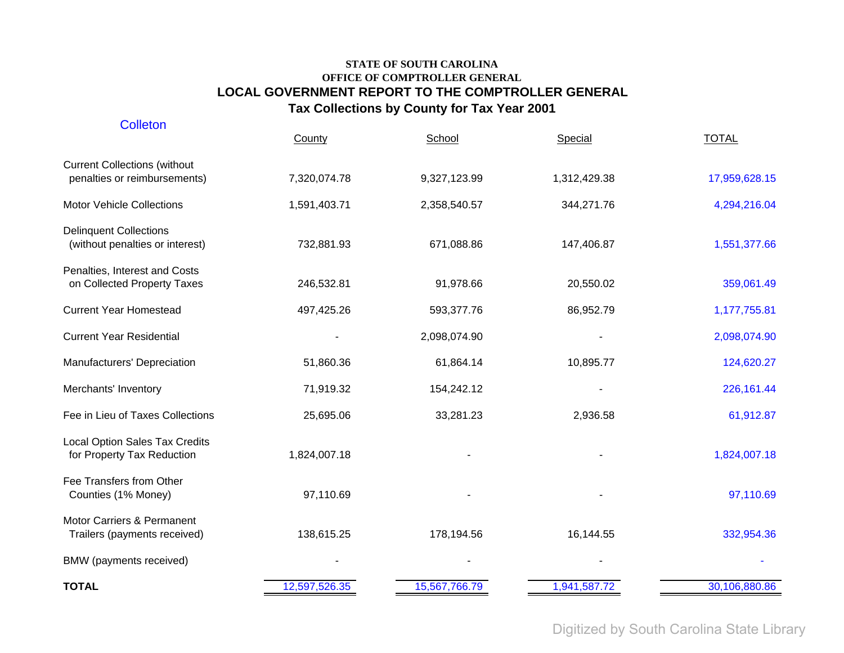| <b>Colleton</b>                                                     | County        | School        | Special      | <b>TOTAL</b>  |
|---------------------------------------------------------------------|---------------|---------------|--------------|---------------|
| <b>Current Collections (without</b><br>penalties or reimbursements) | 7,320,074.78  | 9,327,123.99  | 1,312,429.38 | 17,959,628.15 |
| <b>Motor Vehicle Collections</b>                                    | 1,591,403.71  | 2,358,540.57  | 344,271.76   | 4,294,216.04  |
| <b>Delinquent Collections</b><br>(without penalties or interest)    | 732,881.93    | 671,088.86    | 147,406.87   | 1,551,377.66  |
| Penalties, Interest and Costs<br>on Collected Property Taxes        | 246,532.81    | 91,978.66     | 20,550.02    | 359,061.49    |
| <b>Current Year Homestead</b>                                       | 497,425.26    | 593,377.76    | 86,952.79    | 1,177,755.81  |
| <b>Current Year Residential</b>                                     |               | 2,098,074.90  |              | 2,098,074.90  |
| Manufacturers' Depreciation                                         | 51,860.36     | 61,864.14     | 10,895.77    | 124,620.27    |
| Merchants' Inventory                                                | 71,919.32     | 154,242.12    |              | 226,161.44    |
| Fee in Lieu of Taxes Collections                                    | 25,695.06     | 33,281.23     | 2,936.58     | 61,912.87     |
| <b>Local Option Sales Tax Credits</b><br>for Property Tax Reduction | 1,824,007.18  |               |              | 1,824,007.18  |
| Fee Transfers from Other<br>Counties (1% Money)                     | 97,110.69     |               |              | 97,110.69     |
| Motor Carriers & Permanent<br>Trailers (payments received)          | 138,615.25    | 178,194.56    | 16,144.55    | 332,954.36    |
| BMW (payments received)                                             |               |               |              |               |
| <b>TOTAL</b>                                                        | 12,597,526.35 | 15,567,766.79 | 1,941,587.72 | 30,106,880.86 |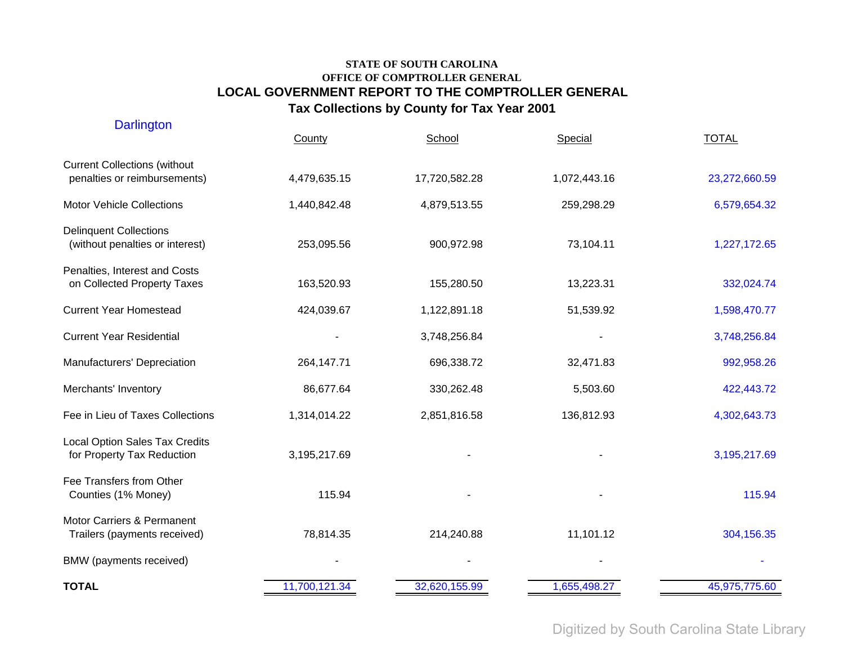| <b>Darlington</b>                                                   | County        | School        | Special      | <b>TOTAL</b>  |
|---------------------------------------------------------------------|---------------|---------------|--------------|---------------|
| <b>Current Collections (without</b><br>penalties or reimbursements) | 4,479,635.15  | 17,720,582.28 | 1,072,443.16 | 23,272,660.59 |
| <b>Motor Vehicle Collections</b>                                    | 1,440,842.48  | 4,879,513.55  | 259,298.29   | 6,579,654.32  |
| <b>Delinquent Collections</b><br>(without penalties or interest)    | 253,095.56    | 900,972.98    | 73,104.11    | 1,227,172.65  |
| Penalties, Interest and Costs<br>on Collected Property Taxes        | 163,520.93    | 155,280.50    | 13,223.31    | 332,024.74    |
| <b>Current Year Homestead</b>                                       | 424,039.67    | 1,122,891.18  | 51,539.92    | 1,598,470.77  |
| <b>Current Year Residential</b>                                     |               | 3,748,256.84  |              | 3,748,256.84  |
| Manufacturers' Depreciation                                         | 264,147.71    | 696,338.72    | 32,471.83    | 992,958.26    |
| Merchants' Inventory                                                | 86,677.64     | 330,262.48    | 5,503.60     | 422,443.72    |
| Fee in Lieu of Taxes Collections                                    | 1,314,014.22  | 2,851,816.58  | 136,812.93   | 4,302,643.73  |
| <b>Local Option Sales Tax Credits</b><br>for Property Tax Reduction | 3,195,217.69  |               |              | 3,195,217.69  |
| Fee Transfers from Other<br>Counties (1% Money)                     | 115.94        |               |              | 115.94        |
| Motor Carriers & Permanent<br>Trailers (payments received)          | 78,814.35     | 214,240.88    | 11,101.12    | 304,156.35    |
| BMW (payments received)                                             |               |               |              |               |
| <b>TOTAL</b>                                                        | 11,700,121.34 | 32,620,155.99 | 1,655,498.27 | 45,975,775.60 |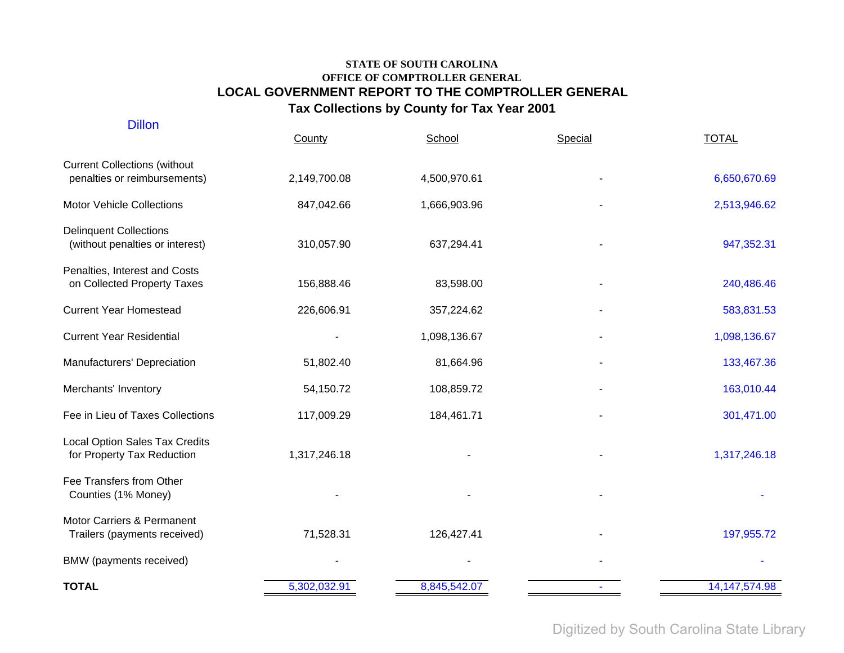| <b>Dillon</b>                                                       | County       | School       | Special | <b>TOTAL</b>     |
|---------------------------------------------------------------------|--------------|--------------|---------|------------------|
| <b>Current Collections (without</b><br>penalties or reimbursements) | 2,149,700.08 | 4,500,970.61 |         | 6,650,670.69     |
| <b>Motor Vehicle Collections</b>                                    | 847,042.66   | 1,666,903.96 |         | 2,513,946.62     |
| <b>Delinquent Collections</b><br>(without penalties or interest)    | 310,057.90   | 637,294.41   |         | 947,352.31       |
| Penalties, Interest and Costs<br>on Collected Property Taxes        | 156,888.46   | 83,598.00    |         | 240,486.46       |
| <b>Current Year Homestead</b>                                       | 226,606.91   | 357,224.62   |         | 583,831.53       |
| <b>Current Year Residential</b>                                     |              | 1,098,136.67 |         | 1,098,136.67     |
| Manufacturers' Depreciation                                         | 51,802.40    | 81,664.96    |         | 133,467.36       |
| Merchants' Inventory                                                | 54,150.72    | 108,859.72   |         | 163,010.44       |
| Fee in Lieu of Taxes Collections                                    | 117,009.29   | 184,461.71   |         | 301,471.00       |
| <b>Local Option Sales Tax Credits</b><br>for Property Tax Reduction | 1,317,246.18 |              |         | 1,317,246.18     |
| Fee Transfers from Other<br>Counties (1% Money)                     |              |              |         |                  |
| Motor Carriers & Permanent<br>Trailers (payments received)          | 71,528.31    | 126,427.41   |         | 197,955.72       |
| BMW (payments received)                                             |              |              |         |                  |
| <b>TOTAL</b>                                                        | 5,302,032.91 | 8,845,542.07 |         | 14, 147, 574. 98 |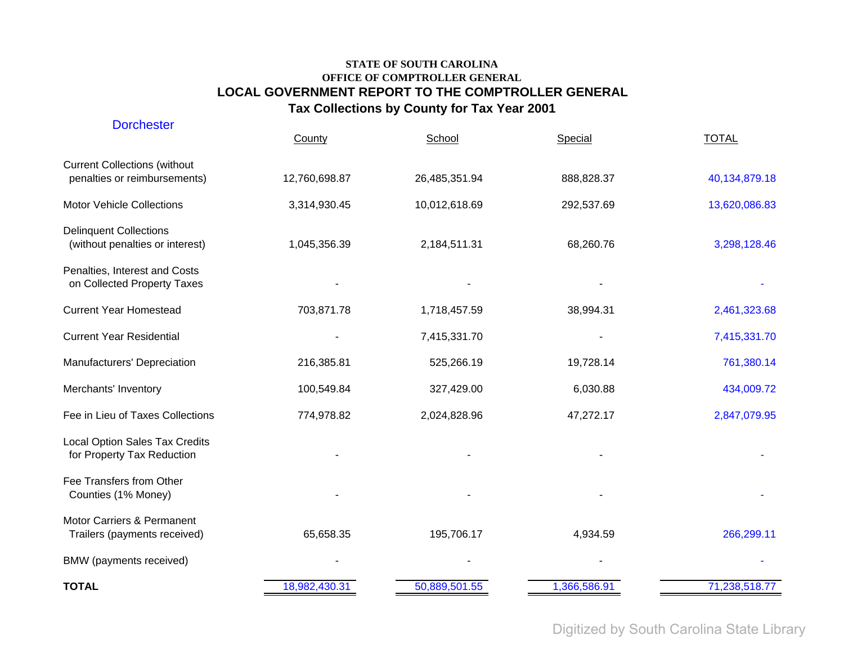| <b>Dorchester</b>                                                   | County        | School        | Special      | <b>TOTAL</b>  |
|---------------------------------------------------------------------|---------------|---------------|--------------|---------------|
| <b>Current Collections (without</b><br>penalties or reimbursements) | 12,760,698.87 | 26,485,351.94 | 888,828.37   | 40,134,879.18 |
| <b>Motor Vehicle Collections</b>                                    | 3,314,930.45  | 10,012,618.69 | 292,537.69   | 13,620,086.83 |
| <b>Delinquent Collections</b><br>(without penalties or interest)    | 1,045,356.39  | 2,184,511.31  | 68,260.76    | 3,298,128.46  |
| Penalties, Interest and Costs<br>on Collected Property Taxes        |               |               |              |               |
| <b>Current Year Homestead</b>                                       | 703,871.78    | 1,718,457.59  | 38,994.31    | 2,461,323.68  |
| <b>Current Year Residential</b>                                     |               | 7,415,331.70  |              | 7,415,331.70  |
| Manufacturers' Depreciation                                         | 216,385.81    | 525,266.19    | 19,728.14    | 761,380.14    |
| Merchants' Inventory                                                | 100,549.84    | 327,429.00    | 6,030.88     | 434,009.72    |
| Fee in Lieu of Taxes Collections                                    | 774,978.82    | 2,024,828.96  | 47,272.17    | 2,847,079.95  |
| <b>Local Option Sales Tax Credits</b><br>for Property Tax Reduction |               |               |              |               |
| Fee Transfers from Other<br>Counties (1% Money)                     |               |               |              |               |
| Motor Carriers & Permanent<br>Trailers (payments received)          | 65,658.35     | 195,706.17    | 4,934.59     | 266,299.11    |
| BMW (payments received)                                             |               |               |              |               |
| <b>TOTAL</b>                                                        | 18,982,430.31 | 50,889,501.55 | 1,366,586.91 | 71,238,518.77 |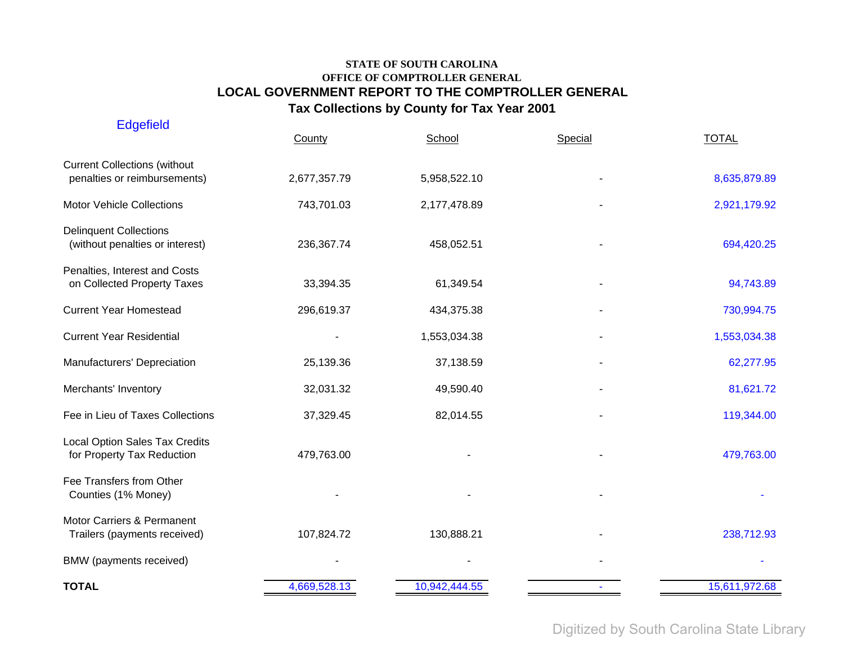| <b>Edgefield</b>                                                    | County       | School        | Special | <b>TOTAL</b>  |
|---------------------------------------------------------------------|--------------|---------------|---------|---------------|
| <b>Current Collections (without</b><br>penalties or reimbursements) | 2,677,357.79 | 5,958,522.10  |         | 8,635,879.89  |
| <b>Motor Vehicle Collections</b>                                    | 743,701.03   | 2,177,478.89  |         | 2,921,179.92  |
| <b>Delinquent Collections</b><br>(without penalties or interest)    | 236,367.74   | 458,052.51    |         | 694,420.25    |
| Penalties, Interest and Costs<br>on Collected Property Taxes        | 33,394.35    | 61,349.54     |         | 94,743.89     |
| <b>Current Year Homestead</b>                                       | 296,619.37   | 434,375.38    |         | 730,994.75    |
| <b>Current Year Residential</b>                                     |              | 1,553,034.38  |         | 1,553,034.38  |
| Manufacturers' Depreciation                                         | 25,139.36    | 37,138.59     |         | 62,277.95     |
| Merchants' Inventory                                                | 32,031.32    | 49,590.40     |         | 81,621.72     |
| Fee in Lieu of Taxes Collections                                    | 37,329.45    | 82,014.55     |         | 119,344.00    |
| Local Option Sales Tax Credits<br>for Property Tax Reduction        | 479,763.00   |               |         | 479,763.00    |
| Fee Transfers from Other<br>Counties (1% Money)                     |              |               |         |               |
| Motor Carriers & Permanent<br>Trailers (payments received)          | 107,824.72   | 130,888.21    |         | 238,712.93    |
| BMW (payments received)                                             |              |               |         |               |
| <b>TOTAL</b>                                                        | 4,669,528.13 | 10,942,444.55 |         | 15,611,972.68 |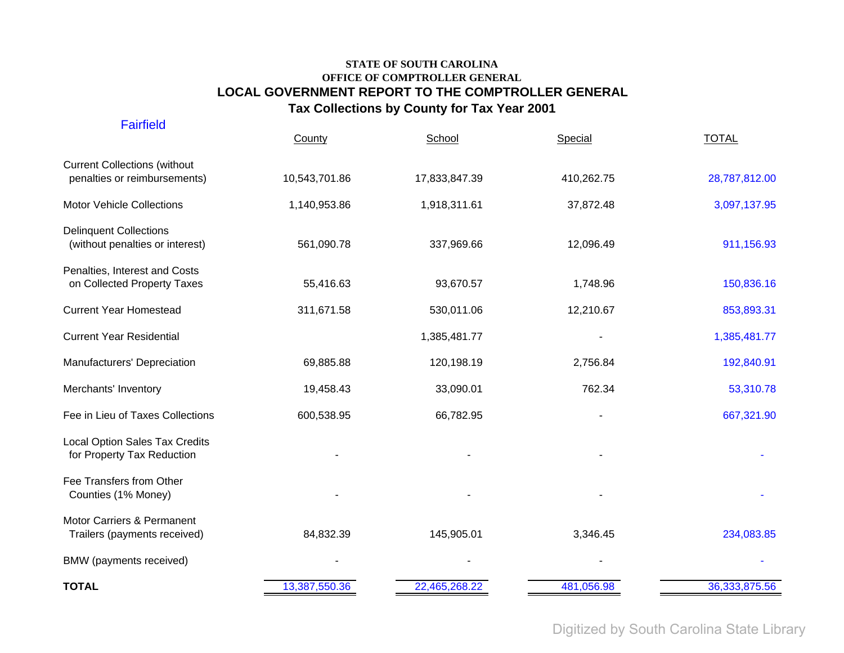| <b>Fairfield</b>                                                    | County        | School        | Special    | <b>TOTAL</b>    |
|---------------------------------------------------------------------|---------------|---------------|------------|-----------------|
| <b>Current Collections (without</b><br>penalties or reimbursements) | 10,543,701.86 | 17,833,847.39 | 410,262.75 | 28,787,812.00   |
| <b>Motor Vehicle Collections</b>                                    | 1,140,953.86  | 1,918,311.61  | 37,872.48  | 3,097,137.95    |
| <b>Delinquent Collections</b><br>(without penalties or interest)    | 561,090.78    | 337,969.66    | 12,096.49  | 911,156.93      |
| Penalties, Interest and Costs<br>on Collected Property Taxes        | 55,416.63     | 93,670.57     | 1,748.96   | 150,836.16      |
| <b>Current Year Homestead</b>                                       | 311,671.58    | 530,011.06    | 12,210.67  | 853,893.31      |
| <b>Current Year Residential</b>                                     |               | 1,385,481.77  |            | 1,385,481.77    |
| Manufacturers' Depreciation                                         | 69,885.88     | 120,198.19    | 2,756.84   | 192,840.91      |
| Merchants' Inventory                                                | 19,458.43     | 33,090.01     | 762.34     | 53,310.78       |
| Fee in Lieu of Taxes Collections                                    | 600,538.95    | 66,782.95     |            | 667,321.90      |
| Local Option Sales Tax Credits<br>for Property Tax Reduction        |               |               |            |                 |
| Fee Transfers from Other<br>Counties (1% Money)                     |               |               |            |                 |
| Motor Carriers & Permanent<br>Trailers (payments received)          | 84,832.39     | 145,905.01    | 3,346.45   | 234,083.85      |
| BMW (payments received)                                             |               |               |            |                 |
| <b>TOTAL</b>                                                        | 13,387,550.36 | 22,465,268.22 | 481,056.98 | 36, 333, 875.56 |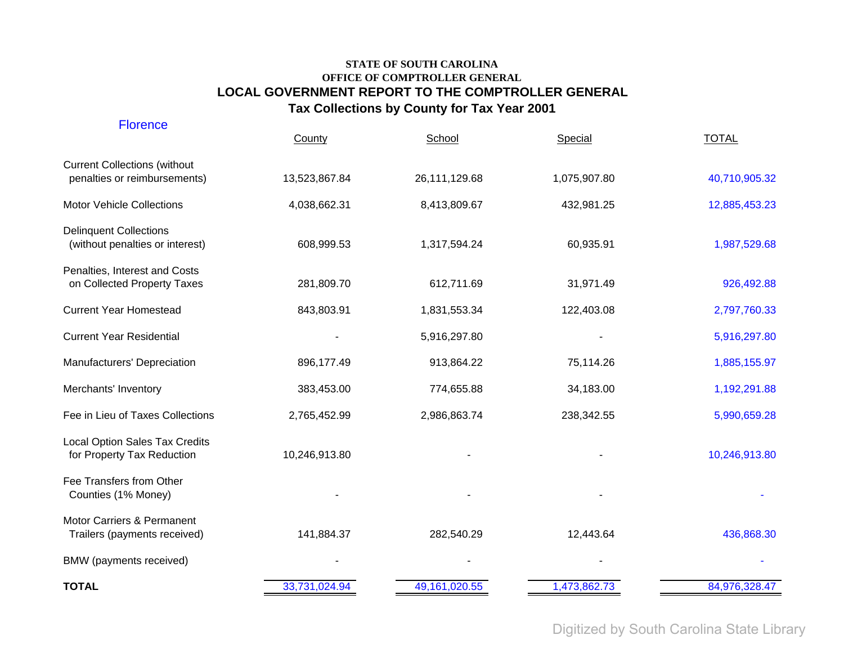| <b>Florence</b>                                                     | County        | School          | Special      | <b>TOTAL</b>  |
|---------------------------------------------------------------------|---------------|-----------------|--------------|---------------|
| <b>Current Collections (without</b><br>penalties or reimbursements) | 13,523,867.84 | 26,111,129.68   | 1,075,907.80 | 40,710,905.32 |
| <b>Motor Vehicle Collections</b>                                    | 4,038,662.31  | 8,413,809.67    | 432,981.25   | 12,885,453.23 |
| <b>Delinquent Collections</b><br>(without penalties or interest)    | 608,999.53    | 1,317,594.24    | 60,935.91    | 1,987,529.68  |
| Penalties, Interest and Costs<br>on Collected Property Taxes        | 281,809.70    | 612,711.69      | 31,971.49    | 926,492.88    |
| <b>Current Year Homestead</b>                                       | 843,803.91    | 1,831,553.34    | 122,403.08   | 2,797,760.33  |
| <b>Current Year Residential</b>                                     |               | 5,916,297.80    |              | 5,916,297.80  |
| Manufacturers' Depreciation                                         | 896,177.49    | 913,864.22      | 75,114.26    | 1,885,155.97  |
| Merchants' Inventory                                                | 383,453.00    | 774,655.88      | 34,183.00    | 1,192,291.88  |
| Fee in Lieu of Taxes Collections                                    | 2,765,452.99  | 2,986,863.74    | 238,342.55   | 5,990,659.28  |
| <b>Local Option Sales Tax Credits</b><br>for Property Tax Reduction | 10,246,913.80 |                 |              | 10,246,913.80 |
| Fee Transfers from Other<br>Counties (1% Money)                     |               |                 |              |               |
| Motor Carriers & Permanent<br>Trailers (payments received)          | 141,884.37    | 282,540.29      | 12,443.64    | 436,868.30    |
| BMW (payments received)                                             |               |                 |              |               |
| <b>TOTAL</b>                                                        | 33,731,024.94 | 49, 161, 020.55 | 1,473,862.73 | 84,976,328.47 |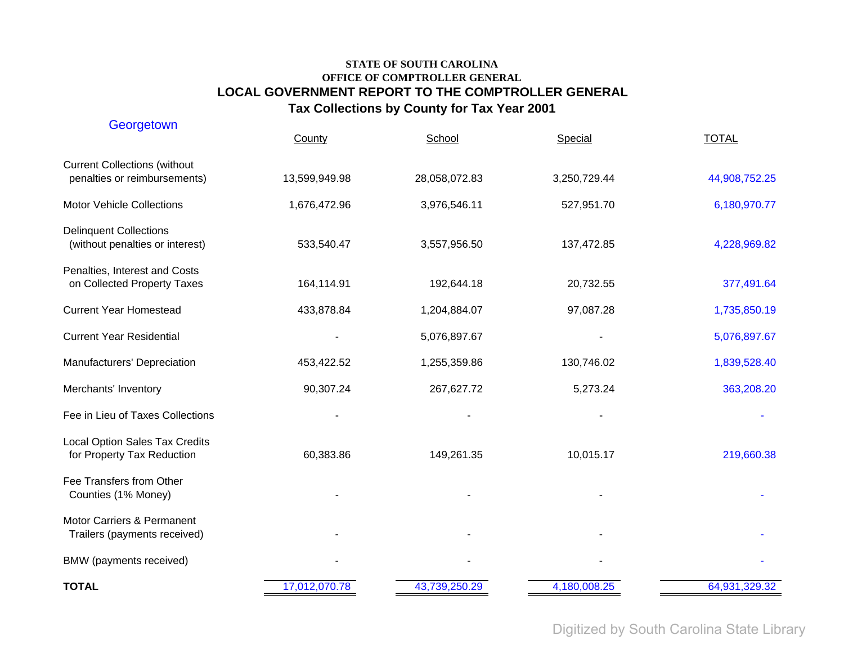| Georgetown                                                          | County        | School        | Special      | <b>TOTAL</b>  |
|---------------------------------------------------------------------|---------------|---------------|--------------|---------------|
| <b>Current Collections (without</b><br>penalties or reimbursements) | 13,599,949.98 | 28,058,072.83 | 3,250,729.44 | 44,908,752.25 |
| <b>Motor Vehicle Collections</b>                                    | 1,676,472.96  | 3,976,546.11  | 527,951.70   | 6,180,970.77  |
| <b>Delinquent Collections</b><br>(without penalties or interest)    | 533,540.47    | 3,557,956.50  | 137,472.85   | 4,228,969.82  |
| Penalties, Interest and Costs<br>on Collected Property Taxes        | 164,114.91    | 192,644.18    | 20,732.55    | 377,491.64    |
| <b>Current Year Homestead</b>                                       | 433,878.84    | 1,204,884.07  | 97,087.28    | 1,735,850.19  |
| <b>Current Year Residential</b>                                     |               | 5,076,897.67  |              | 5,076,897.67  |
| Manufacturers' Depreciation                                         | 453,422.52    | 1,255,359.86  | 130,746.02   | 1,839,528.40  |
| Merchants' Inventory                                                | 90,307.24     | 267,627.72    | 5,273.24     | 363,208.20    |
| Fee in Lieu of Taxes Collections                                    |               |               |              |               |
| <b>Local Option Sales Tax Credits</b><br>for Property Tax Reduction | 60,383.86     | 149,261.35    | 10,015.17    | 219,660.38    |
| Fee Transfers from Other<br>Counties (1% Money)                     |               |               |              |               |
| Motor Carriers & Permanent<br>Trailers (payments received)          |               |               |              |               |
| BMW (payments received)                                             |               |               |              |               |
| <b>TOTAL</b>                                                        | 17,012,070.78 | 43,739,250.29 | 4,180,008.25 | 64,931,329.32 |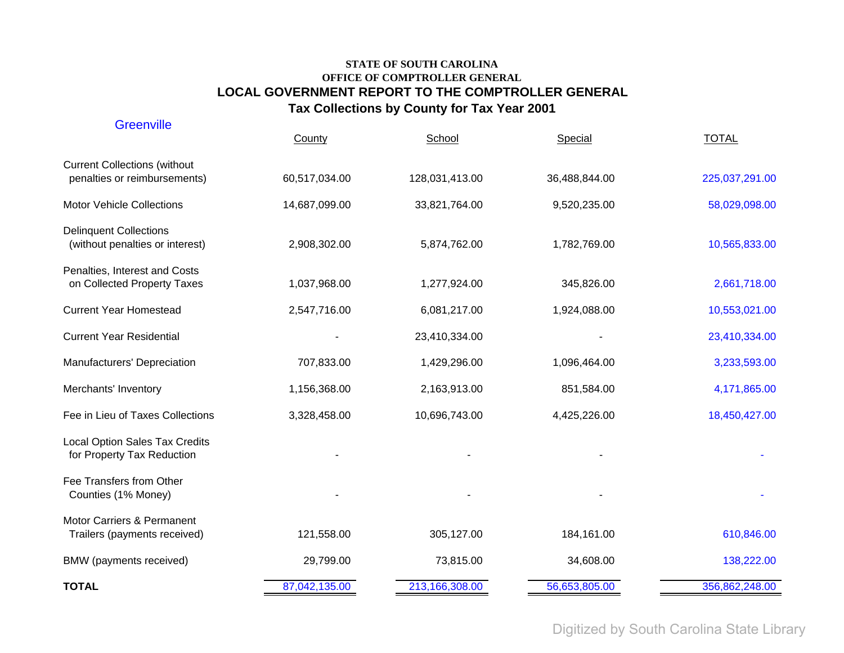| <b>Greenville</b>                                                   |               |                |               |                |
|---------------------------------------------------------------------|---------------|----------------|---------------|----------------|
|                                                                     | County        | School         | Special       | <b>TOTAL</b>   |
| <b>Current Collections (without</b><br>penalties or reimbursements) | 60,517,034.00 | 128,031,413.00 | 36,488,844.00 | 225,037,291.00 |
| <b>Motor Vehicle Collections</b>                                    | 14,687,099.00 | 33,821,764.00  | 9,520,235.00  | 58,029,098.00  |
| <b>Delinquent Collections</b><br>(without penalties or interest)    | 2,908,302.00  | 5,874,762.00   | 1,782,769.00  | 10,565,833.00  |
| Penalties, Interest and Costs<br>on Collected Property Taxes        | 1,037,968.00  | 1,277,924.00   | 345,826.00    | 2,661,718.00   |
| <b>Current Year Homestead</b>                                       | 2,547,716.00  | 6,081,217.00   | 1,924,088.00  | 10,553,021.00  |
| <b>Current Year Residential</b>                                     |               | 23,410,334.00  |               | 23,410,334.00  |
| Manufacturers' Depreciation                                         | 707,833.00    | 1,429,296.00   | 1,096,464.00  | 3,233,593.00   |
| Merchants' Inventory                                                | 1,156,368.00  | 2,163,913.00   | 851,584.00    | 4,171,865.00   |
| Fee in Lieu of Taxes Collections                                    | 3,328,458.00  | 10,696,743.00  | 4,425,226.00  | 18,450,427.00  |
| <b>Local Option Sales Tax Credits</b><br>for Property Tax Reduction |               |                |               |                |
| Fee Transfers from Other<br>Counties (1% Money)                     |               |                |               |                |
| Motor Carriers & Permanent<br>Trailers (payments received)          | 121,558.00    | 305,127.00     | 184,161.00    | 610,846.00     |
| BMW (payments received)                                             | 29,799.00     | 73,815.00      | 34,608.00     | 138,222.00     |
| <b>TOTAL</b>                                                        | 87,042,135.00 | 213,166,308.00 | 56,653,805.00 | 356,862,248.00 |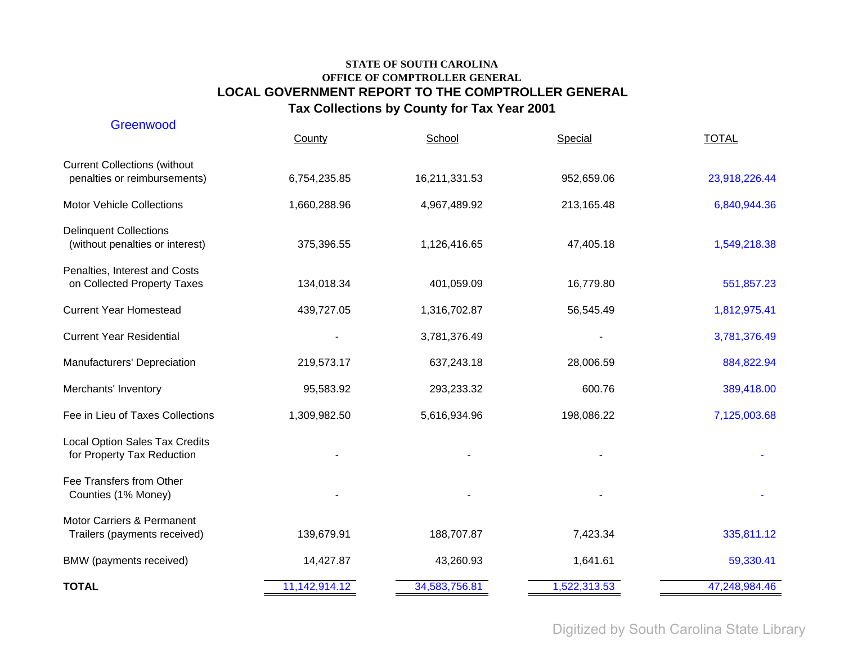| Greenwood                                                           | County        | School        | Special      | <b>TOTAL</b>  |
|---------------------------------------------------------------------|---------------|---------------|--------------|---------------|
| <b>Current Collections (without</b><br>penalties or reimbursements) | 6,754,235.85  | 16,211,331.53 | 952,659.06   | 23,918,226.44 |
| Motor Vehicle Collections                                           | 1,660,288.96  | 4,967,489.92  | 213,165.48   | 6,840,944.36  |
| <b>Delinquent Collections</b><br>(without penalties or interest)    | 375,396.55    | 1,126,416.65  | 47,405.18    | 1,549,218.38  |
| Penalties, Interest and Costs<br>on Collected Property Taxes        | 134,018.34    | 401,059.09    | 16,779.80    | 551,857.23    |
| <b>Current Year Homestead</b>                                       | 439,727.05    | 1,316,702.87  | 56,545.49    | 1,812,975.41  |
| <b>Current Year Residential</b>                                     |               | 3,781,376.49  |              | 3,781,376.49  |
| Manufacturers' Depreciation                                         | 219,573.17    | 637,243.18    | 28,006.59    | 884,822.94    |
| Merchants' Inventory                                                | 95,583.92     | 293,233.32    | 600.76       | 389,418.00    |
| Fee in Lieu of Taxes Collections                                    | 1,309,982.50  | 5,616,934.96  | 198,086.22   | 7,125,003.68  |
| <b>Local Option Sales Tax Credits</b><br>for Property Tax Reduction |               |               |              |               |
| Fee Transfers from Other<br>Counties (1% Money)                     |               |               |              |               |
| Motor Carriers & Permanent<br>Trailers (payments received)          | 139,679.91    | 188,707.87    | 7,423.34     | 335,811.12    |
| BMW (payments received)                                             | 14,427.87     | 43,260.93     | 1,641.61     | 59,330.41     |
| <b>TOTAL</b>                                                        | 11,142,914.12 | 34,583,756.81 | 1,522,313.53 | 47,248,984.46 |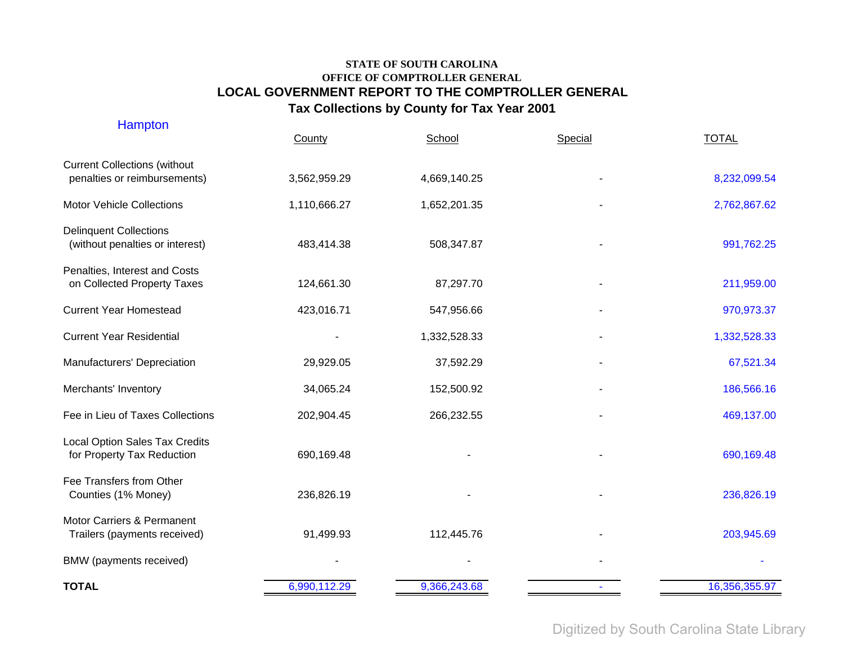| <b>Hampton</b>                                                      | County       | School       | Special | <b>TOTAL</b>  |
|---------------------------------------------------------------------|--------------|--------------|---------|---------------|
| <b>Current Collections (without</b><br>penalties or reimbursements) | 3,562,959.29 | 4,669,140.25 |         | 8,232,099.54  |
| <b>Motor Vehicle Collections</b>                                    | 1,110,666.27 | 1,652,201.35 |         | 2,762,867.62  |
| <b>Delinquent Collections</b><br>(without penalties or interest)    | 483,414.38   | 508,347.87   |         | 991,762.25    |
| Penalties, Interest and Costs<br>on Collected Property Taxes        | 124,661.30   | 87,297.70    |         | 211,959.00    |
| <b>Current Year Homestead</b>                                       | 423,016.71   | 547,956.66   |         | 970,973.37    |
| <b>Current Year Residential</b>                                     |              | 1,332,528.33 |         | 1,332,528.33  |
| Manufacturers' Depreciation                                         | 29,929.05    | 37,592.29    |         | 67,521.34     |
| Merchants' Inventory                                                | 34,065.24    | 152,500.92   |         | 186,566.16    |
| Fee in Lieu of Taxes Collections                                    | 202,904.45   | 266,232.55   |         | 469,137.00    |
| Local Option Sales Tax Credits<br>for Property Tax Reduction        | 690,169.48   |              |         | 690,169.48    |
| Fee Transfers from Other<br>Counties (1% Money)                     | 236,826.19   |              |         | 236,826.19    |
| Motor Carriers & Permanent<br>Trailers (payments received)          | 91,499.93    | 112,445.76   |         | 203,945.69    |
| BMW (payments received)                                             |              |              |         |               |
| <b>TOTAL</b>                                                        | 6,990,112.29 | 9,366,243.68 |         | 16,356,355.97 |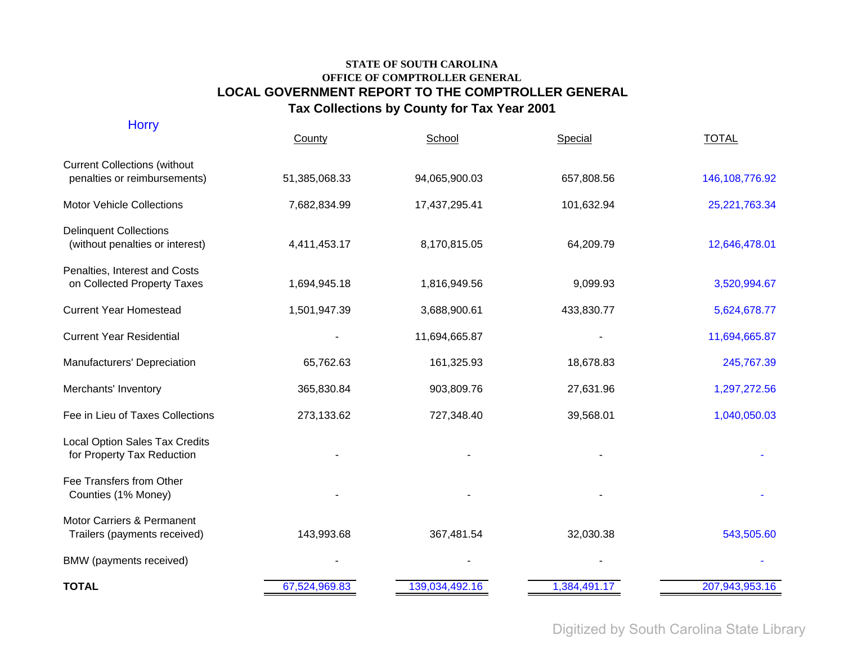| <b>Horry</b>                                                        | County        | School         | Special      | <b>TOTAL</b>     |
|---------------------------------------------------------------------|---------------|----------------|--------------|------------------|
| <b>Current Collections (without</b><br>penalties or reimbursements) | 51,385,068.33 | 94,065,900.03  | 657,808.56   | 146, 108, 776.92 |
| <b>Motor Vehicle Collections</b>                                    | 7,682,834.99  | 17,437,295.41  | 101,632.94   | 25,221,763.34    |
| <b>Delinquent Collections</b><br>(without penalties or interest)    | 4,411,453.17  | 8,170,815.05   | 64,209.79    | 12,646,478.01    |
| Penalties, Interest and Costs<br>on Collected Property Taxes        | 1,694,945.18  | 1,816,949.56   | 9,099.93     | 3,520,994.67     |
| <b>Current Year Homestead</b>                                       | 1,501,947.39  | 3,688,900.61   | 433,830.77   | 5,624,678.77     |
| <b>Current Year Residential</b>                                     |               | 11,694,665.87  |              | 11,694,665.87    |
| Manufacturers' Depreciation                                         | 65,762.63     | 161,325.93     | 18,678.83    | 245,767.39       |
| Merchants' Inventory                                                | 365,830.84    | 903,809.76     | 27,631.96    | 1,297,272.56     |
| Fee in Lieu of Taxes Collections                                    | 273,133.62    | 727,348.40     | 39,568.01    | 1,040,050.03     |
| <b>Local Option Sales Tax Credits</b><br>for Property Tax Reduction |               |                |              |                  |
| Fee Transfers from Other<br>Counties (1% Money)                     |               |                |              |                  |
| Motor Carriers & Permanent<br>Trailers (payments received)          | 143,993.68    | 367,481.54     | 32,030.38    | 543,505.60       |
| BMW (payments received)                                             |               |                |              |                  |
| <b>TOTAL</b>                                                        | 67,524,969.83 | 139,034,492.16 | 1,384,491.17 | 207,943,953.16   |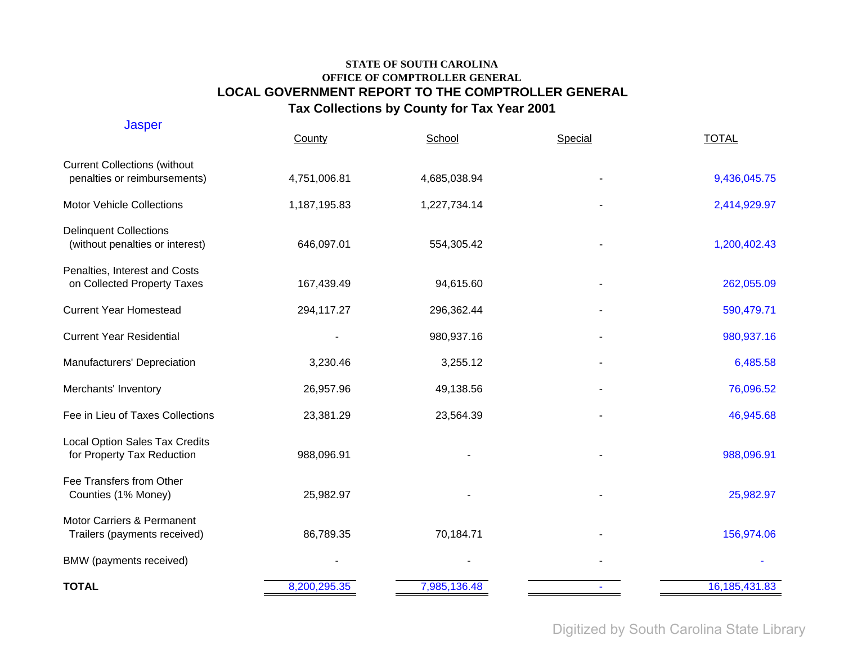| <b>Jasper</b>                                                       | County       | School       | Special | <b>TOTAL</b>    |
|---------------------------------------------------------------------|--------------|--------------|---------|-----------------|
| <b>Current Collections (without</b><br>penalties or reimbursements) | 4,751,006.81 | 4,685,038.94 |         | 9,436,045.75    |
| <b>Motor Vehicle Collections</b>                                    | 1,187,195.83 | 1,227,734.14 |         | 2,414,929.97    |
| <b>Delinquent Collections</b><br>(without penalties or interest)    | 646,097.01   | 554,305.42   |         | 1,200,402.43    |
| Penalties, Interest and Costs<br>on Collected Property Taxes        | 167,439.49   | 94,615.60    |         | 262,055.09      |
| <b>Current Year Homestead</b>                                       | 294,117.27   | 296,362.44   |         | 590,479.71      |
| <b>Current Year Residential</b>                                     |              | 980,937.16   |         | 980,937.16      |
| Manufacturers' Depreciation                                         | 3,230.46     | 3,255.12     |         | 6,485.58        |
| Merchants' Inventory                                                | 26,957.96    | 49,138.56    |         | 76,096.52       |
| Fee in Lieu of Taxes Collections                                    | 23,381.29    | 23,564.39    |         | 46,945.68       |
| <b>Local Option Sales Tax Credits</b><br>for Property Tax Reduction | 988,096.91   |              |         | 988,096.91      |
| Fee Transfers from Other<br>Counties (1% Money)                     | 25,982.97    |              |         | 25,982.97       |
| Motor Carriers & Permanent<br>Trailers (payments received)          | 86,789.35    | 70,184.71    |         | 156,974.06      |
| BMW (payments received)                                             |              |              |         |                 |
| <b>TOTAL</b>                                                        | 8,200,295.35 | 7,985,136.48 |         | 16, 185, 431.83 |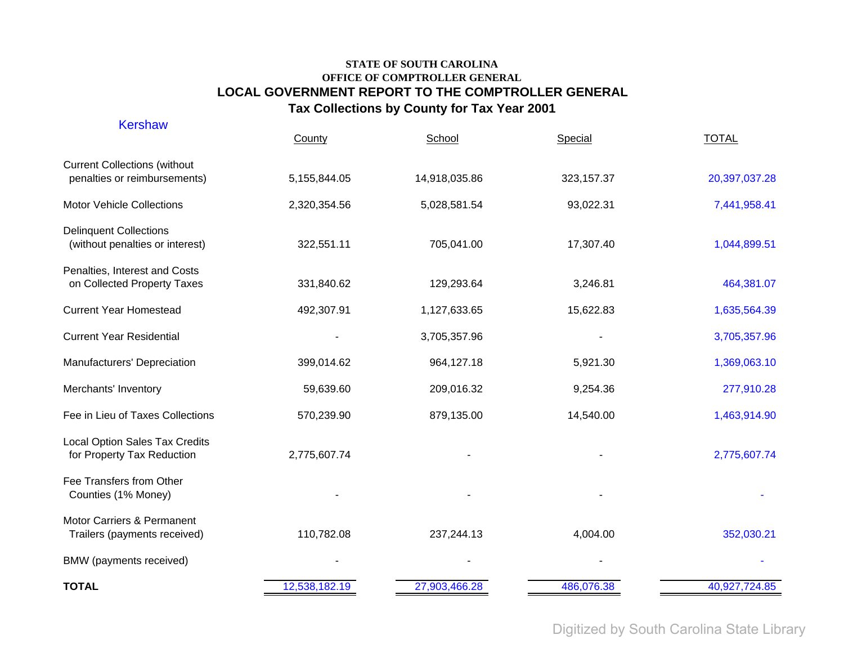| <b>Kershaw</b>                                                      | County        | School        | Special     | <b>TOTAL</b>  |
|---------------------------------------------------------------------|---------------|---------------|-------------|---------------|
| <b>Current Collections (without</b><br>penalties or reimbursements) | 5,155,844.05  | 14,918,035.86 | 323, 157.37 | 20,397,037.28 |
| <b>Motor Vehicle Collections</b>                                    | 2,320,354.56  | 5,028,581.54  | 93,022.31   | 7,441,958.41  |
| <b>Delinquent Collections</b><br>(without penalties or interest)    | 322,551.11    | 705,041.00    | 17,307.40   | 1,044,899.51  |
| Penalties, Interest and Costs<br>on Collected Property Taxes        | 331,840.62    | 129,293.64    | 3,246.81    | 464,381.07    |
| <b>Current Year Homestead</b>                                       | 492,307.91    | 1,127,633.65  | 15,622.83   | 1,635,564.39  |
| <b>Current Year Residential</b>                                     |               | 3,705,357.96  |             | 3,705,357.96  |
| Manufacturers' Depreciation                                         | 399,014.62    | 964,127.18    | 5,921.30    | 1,369,063.10  |
| Merchants' Inventory                                                | 59,639.60     | 209,016.32    | 9,254.36    | 277,910.28    |
| Fee in Lieu of Taxes Collections                                    | 570,239.90    | 879,135.00    | 14,540.00   | 1,463,914.90  |
| <b>Local Option Sales Tax Credits</b><br>for Property Tax Reduction | 2,775,607.74  |               |             | 2,775,607.74  |
| Fee Transfers from Other<br>Counties (1% Money)                     |               |               |             |               |
| Motor Carriers & Permanent<br>Trailers (payments received)          | 110,782.08    | 237,244.13    | 4,004.00    | 352,030.21    |
| BMW (payments received)                                             |               |               |             |               |
| <b>TOTAL</b>                                                        | 12,538,182.19 | 27,903,466.28 | 486,076.38  | 40,927,724.85 |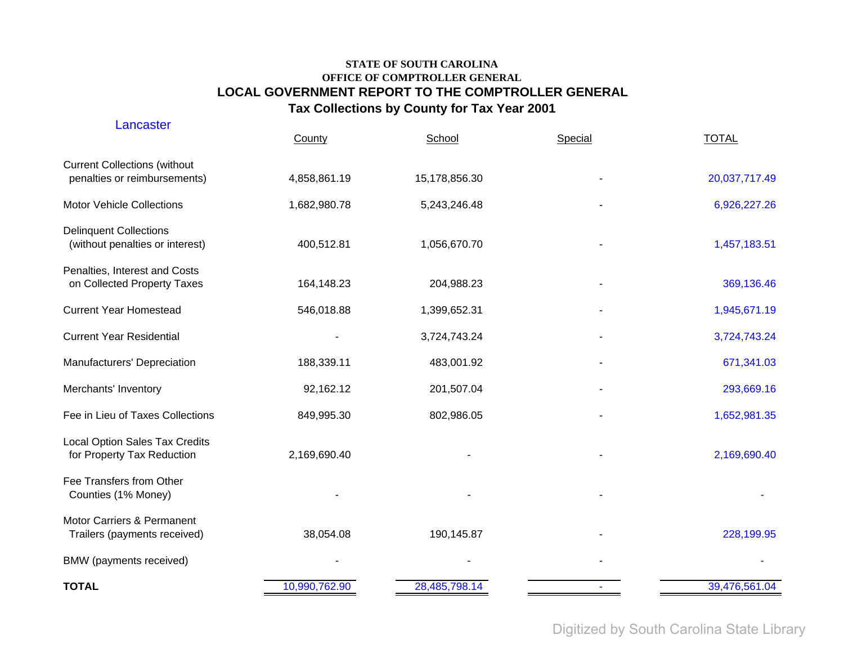| Lancaster                                                           | County        | School        | Special | <b>TOTAL</b>  |
|---------------------------------------------------------------------|---------------|---------------|---------|---------------|
| <b>Current Collections (without</b><br>penalties or reimbursements) | 4,858,861.19  | 15,178,856.30 |         | 20,037,717.49 |
| <b>Motor Vehicle Collections</b>                                    | 1,682,980.78  | 5,243,246.48  |         | 6,926,227.26  |
| <b>Delinquent Collections</b><br>(without penalties or interest)    | 400,512.81    | 1,056,670.70  |         | 1,457,183.51  |
| Penalties, Interest and Costs<br>on Collected Property Taxes        | 164,148.23    | 204,988.23    |         | 369,136.46    |
| <b>Current Year Homestead</b>                                       | 546,018.88    | 1,399,652.31  |         | 1,945,671.19  |
| <b>Current Year Residential</b>                                     |               | 3,724,743.24  |         | 3,724,743.24  |
| Manufacturers' Depreciation                                         | 188,339.11    | 483,001.92    |         | 671,341.03    |
| Merchants' Inventory                                                | 92,162.12     | 201,507.04    |         | 293,669.16    |
| Fee in Lieu of Taxes Collections                                    | 849,995.30    | 802,986.05    |         | 1,652,981.35  |
| Local Option Sales Tax Credits<br>for Property Tax Reduction        | 2,169,690.40  |               |         | 2,169,690.40  |
| Fee Transfers from Other<br>Counties (1% Money)                     |               |               |         |               |
| Motor Carriers & Permanent<br>Trailers (payments received)          | 38,054.08     | 190,145.87    |         | 228,199.95    |
| BMW (payments received)                                             |               |               |         |               |
| <b>TOTAL</b>                                                        | 10,990,762.90 | 28,485,798.14 |         | 39,476,561.04 |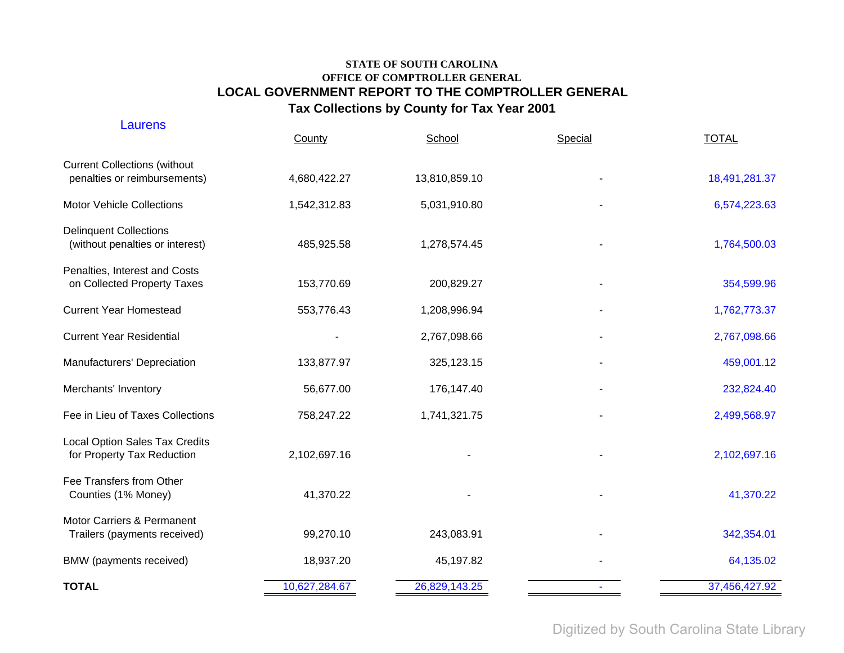| Laurens                                                             | County        | School        | Special | <b>TOTAL</b>  |
|---------------------------------------------------------------------|---------------|---------------|---------|---------------|
| <b>Current Collections (without</b><br>penalties or reimbursements) | 4,680,422.27  | 13,810,859.10 |         | 18,491,281.37 |
| <b>Motor Vehicle Collections</b>                                    | 1,542,312.83  | 5,031,910.80  |         | 6,574,223.63  |
| <b>Delinquent Collections</b><br>(without penalties or interest)    | 485,925.58    | 1,278,574.45  |         | 1,764,500.03  |
| Penalties, Interest and Costs<br>on Collected Property Taxes        | 153,770.69    | 200,829.27    |         | 354,599.96    |
| <b>Current Year Homestead</b>                                       | 553,776.43    | 1,208,996.94  |         | 1,762,773.37  |
| <b>Current Year Residential</b>                                     |               | 2,767,098.66  |         | 2,767,098.66  |
| Manufacturers' Depreciation                                         | 133,877.97    | 325,123.15    |         | 459,001.12    |
| Merchants' Inventory                                                | 56,677.00     | 176,147.40    |         | 232,824.40    |
| Fee in Lieu of Taxes Collections                                    | 758,247.22    | 1,741,321.75  |         | 2,499,568.97  |
| <b>Local Option Sales Tax Credits</b><br>for Property Tax Reduction | 2,102,697.16  |               |         | 2,102,697.16  |
| Fee Transfers from Other<br>Counties (1% Money)                     | 41,370.22     |               |         | 41,370.22     |
| Motor Carriers & Permanent<br>Trailers (payments received)          | 99,270.10     | 243,083.91    |         | 342,354.01    |
| BMW (payments received)                                             | 18,937.20     | 45,197.82     |         | 64,135.02     |
| <b>TOTAL</b>                                                        | 10,627,284.67 | 26,829,143.25 |         | 37,456,427.92 |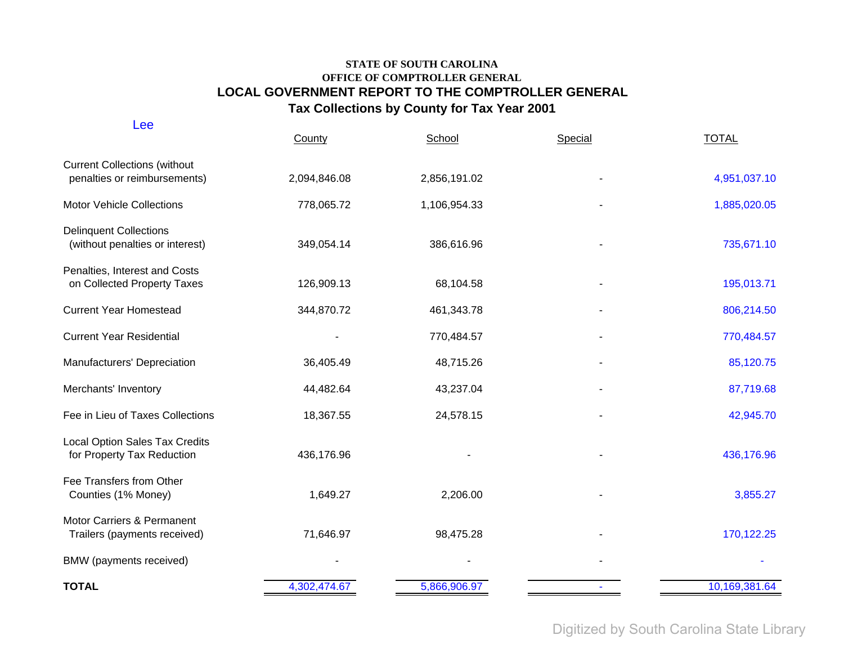| Lee                                                                 | County       | School       | Special | <b>TOTAL</b>  |
|---------------------------------------------------------------------|--------------|--------------|---------|---------------|
| <b>Current Collections (without</b><br>penalties or reimbursements) | 2,094,846.08 | 2,856,191.02 |         | 4,951,037.10  |
| <b>Motor Vehicle Collections</b>                                    | 778,065.72   | 1,106,954.33 |         | 1,885,020.05  |
| <b>Delinquent Collections</b><br>(without penalties or interest)    | 349,054.14   | 386,616.96   |         | 735,671.10    |
| Penalties, Interest and Costs<br>on Collected Property Taxes        | 126,909.13   | 68,104.58    |         | 195,013.71    |
| <b>Current Year Homestead</b>                                       | 344,870.72   | 461,343.78   |         | 806,214.50    |
| <b>Current Year Residential</b>                                     |              | 770,484.57   |         | 770,484.57    |
| Manufacturers' Depreciation                                         | 36,405.49    | 48,715.26    |         | 85,120.75     |
| Merchants' Inventory                                                | 44,482.64    | 43,237.04    |         | 87,719.68     |
| Fee in Lieu of Taxes Collections                                    | 18,367.55    | 24,578.15    |         | 42,945.70     |
| <b>Local Option Sales Tax Credits</b><br>for Property Tax Reduction | 436,176.96   |              |         | 436,176.96    |
| Fee Transfers from Other<br>Counties (1% Money)                     | 1,649.27     | 2,206.00     |         | 3,855.27      |
| Motor Carriers & Permanent<br>Trailers (payments received)          | 71,646.97    | 98,475.28    |         | 170,122.25    |
| BMW (payments received)                                             |              |              |         |               |
| <b>TOTAL</b>                                                        | 4,302,474.67 | 5,866,906.97 |         | 10,169,381.64 |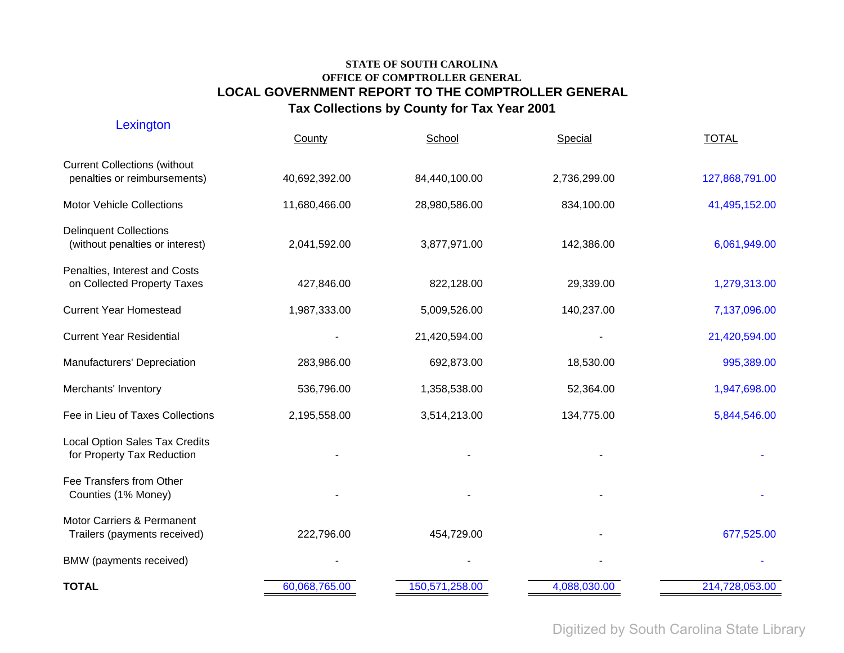| Lexington                                                           | County        | School         | Special      | <b>TOTAL</b>   |
|---------------------------------------------------------------------|---------------|----------------|--------------|----------------|
| <b>Current Collections (without</b><br>penalties or reimbursements) | 40,692,392.00 | 84,440,100.00  | 2,736,299.00 | 127,868,791.00 |
| <b>Motor Vehicle Collections</b>                                    | 11,680,466.00 | 28,980,586.00  | 834,100.00   | 41,495,152.00  |
| <b>Delinquent Collections</b><br>(without penalties or interest)    | 2,041,592.00  | 3,877,971.00   | 142,386.00   | 6,061,949.00   |
| Penalties, Interest and Costs<br>on Collected Property Taxes        | 427,846.00    | 822,128.00     | 29,339.00    | 1,279,313.00   |
| <b>Current Year Homestead</b>                                       | 1,987,333.00  | 5,009,526.00   | 140,237.00   | 7,137,096.00   |
| <b>Current Year Residential</b>                                     |               | 21,420,594.00  |              | 21,420,594.00  |
| Manufacturers' Depreciation                                         | 283,986.00    | 692,873.00     | 18,530.00    | 995,389.00     |
| Merchants' Inventory                                                | 536,796.00    | 1,358,538.00   | 52,364.00    | 1,947,698.00   |
| Fee in Lieu of Taxes Collections                                    | 2,195,558.00  | 3,514,213.00   | 134,775.00   | 5,844,546.00   |
| Local Option Sales Tax Credits<br>for Property Tax Reduction        |               |                |              |                |
| Fee Transfers from Other<br>Counties (1% Money)                     |               |                |              |                |
| Motor Carriers & Permanent<br>Trailers (payments received)          | 222,796.00    | 454,729.00     |              | 677,525.00     |
| BMW (payments received)                                             |               |                |              |                |
| <b>TOTAL</b>                                                        | 60,068,765.00 | 150,571,258.00 | 4,088,030.00 | 214,728,053.00 |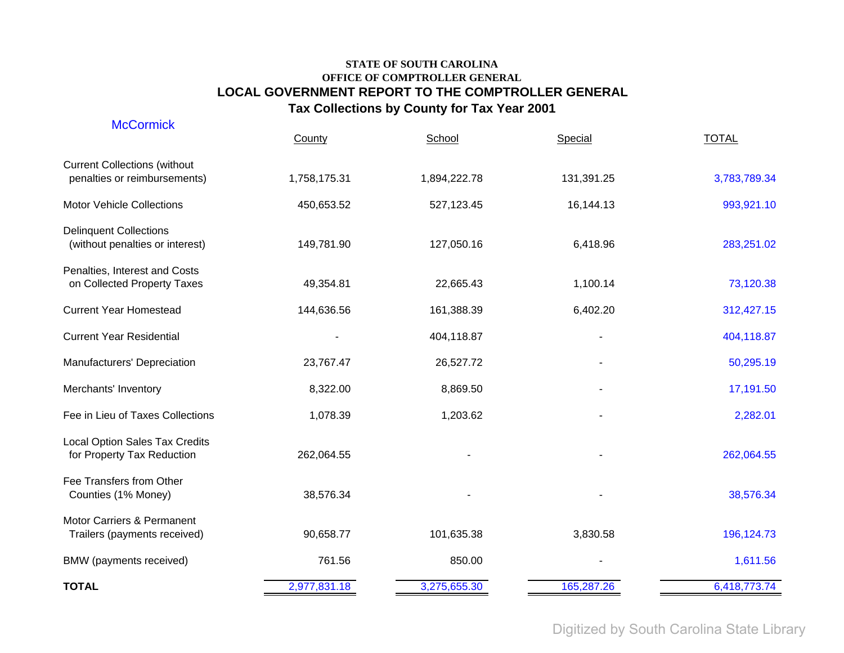| <b>McCormick</b>                                                    | County       | School       | Special    | <b>TOTAL</b> |
|---------------------------------------------------------------------|--------------|--------------|------------|--------------|
| <b>Current Collections (without</b><br>penalties or reimbursements) | 1,758,175.31 | 1,894,222.78 | 131,391.25 | 3,783,789.34 |
| <b>Motor Vehicle Collections</b>                                    | 450,653.52   | 527,123.45   | 16,144.13  | 993,921.10   |
| <b>Delinquent Collections</b><br>(without penalties or interest)    | 149,781.90   | 127,050.16   | 6,418.96   | 283,251.02   |
| Penalties, Interest and Costs<br>on Collected Property Taxes        | 49,354.81    | 22,665.43    | 1,100.14   | 73,120.38    |
| <b>Current Year Homestead</b>                                       | 144,636.56   | 161,388.39   | 6,402.20   | 312,427.15   |
| <b>Current Year Residential</b>                                     |              | 404,118.87   |            | 404,118.87   |
| Manufacturers' Depreciation                                         | 23,767.47    | 26,527.72    |            | 50,295.19    |
| Merchants' Inventory                                                | 8,322.00     | 8,869.50     |            | 17,191.50    |
| Fee in Lieu of Taxes Collections                                    | 1,078.39     | 1,203.62     |            | 2,282.01     |
| <b>Local Option Sales Tax Credits</b><br>for Property Tax Reduction | 262,064.55   |              |            | 262,064.55   |
| Fee Transfers from Other<br>Counties (1% Money)                     | 38,576.34    |              |            | 38,576.34    |
| Motor Carriers & Permanent<br>Trailers (payments received)          | 90,658.77    | 101,635.38   | 3,830.58   | 196,124.73   |
| BMW (payments received)                                             | 761.56       | 850.00       |            | 1,611.56     |
| <b>TOTAL</b>                                                        | 2,977,831.18 | 3,275,655.30 | 165,287.26 | 6,418,773.74 |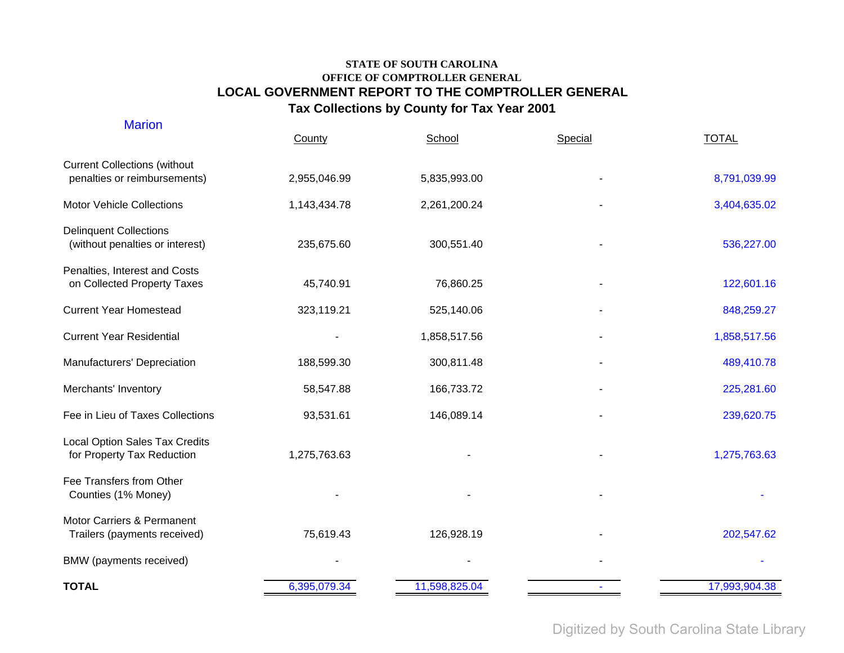| <b>Marion</b>                                                       | County       | School        | Special | <b>TOTAL</b>  |
|---------------------------------------------------------------------|--------------|---------------|---------|---------------|
| <b>Current Collections (without</b><br>penalties or reimbursements) | 2,955,046.99 | 5,835,993.00  |         | 8,791,039.99  |
| <b>Motor Vehicle Collections</b>                                    | 1,143,434.78 | 2,261,200.24  |         | 3,404,635.02  |
| <b>Delinquent Collections</b><br>(without penalties or interest)    | 235,675.60   | 300,551.40    |         | 536,227.00    |
| Penalties, Interest and Costs<br>on Collected Property Taxes        | 45,740.91    | 76,860.25     |         | 122,601.16    |
| <b>Current Year Homestead</b>                                       | 323,119.21   | 525,140.06    |         | 848,259.27    |
| <b>Current Year Residential</b>                                     |              | 1,858,517.56  |         | 1,858,517.56  |
| Manufacturers' Depreciation                                         | 188,599.30   | 300,811.48    |         | 489,410.78    |
| Merchants' Inventory                                                | 58,547.88    | 166,733.72    |         | 225,281.60    |
| Fee in Lieu of Taxes Collections                                    | 93,531.61    | 146,089.14    |         | 239,620.75    |
| Local Option Sales Tax Credits<br>for Property Tax Reduction        | 1,275,763.63 |               |         | 1,275,763.63  |
| Fee Transfers from Other<br>Counties (1% Money)                     |              |               |         |               |
| Motor Carriers & Permanent<br>Trailers (payments received)          | 75,619.43    | 126,928.19    |         | 202,547.62    |
| BMW (payments received)                                             |              |               |         |               |
| <b>TOTAL</b>                                                        | 6,395,079.34 | 11,598,825.04 |         | 17,993,904.38 |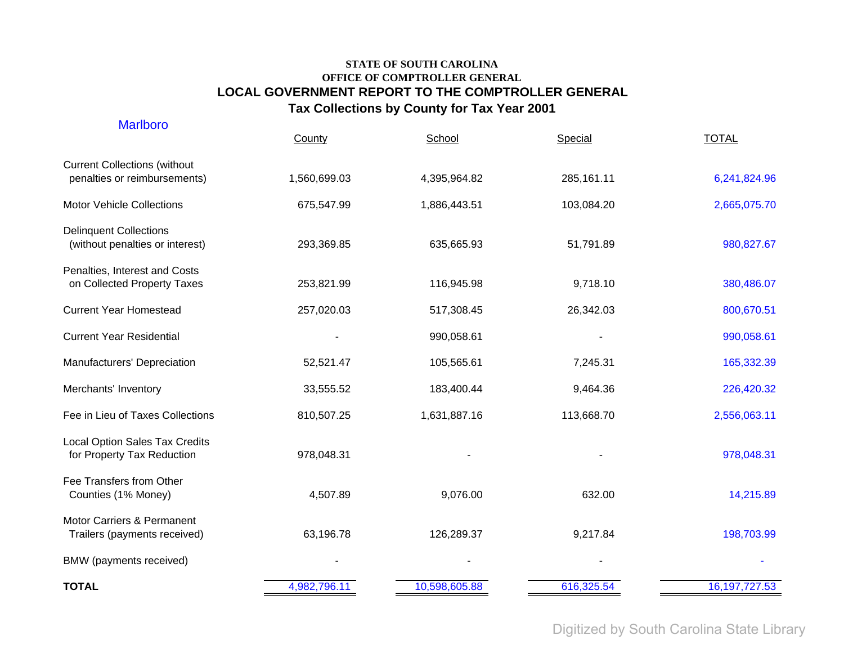| <b>Marlboro</b>                                                     | County       | School        | Special    | <b>TOTAL</b>    |
|---------------------------------------------------------------------|--------------|---------------|------------|-----------------|
| <b>Current Collections (without</b><br>penalties or reimbursements) | 1,560,699.03 | 4,395,964.82  | 285,161.11 | 6,241,824.96    |
| <b>Motor Vehicle Collections</b>                                    | 675,547.99   | 1,886,443.51  | 103,084.20 | 2,665,075.70    |
| <b>Delinquent Collections</b><br>(without penalties or interest)    | 293,369.85   | 635,665.93    | 51,791.89  | 980,827.67      |
| Penalties, Interest and Costs<br>on Collected Property Taxes        | 253,821.99   | 116,945.98    | 9,718.10   | 380,486.07      |
| <b>Current Year Homestead</b>                                       | 257,020.03   | 517,308.45    | 26,342.03  | 800,670.51      |
| <b>Current Year Residential</b>                                     |              | 990,058.61    |            | 990,058.61      |
| Manufacturers' Depreciation                                         | 52,521.47    | 105,565.61    | 7,245.31   | 165,332.39      |
| Merchants' Inventory                                                | 33,555.52    | 183,400.44    | 9,464.36   | 226,420.32      |
| Fee in Lieu of Taxes Collections                                    | 810,507.25   | 1,631,887.16  | 113,668.70 | 2,556,063.11    |
| <b>Local Option Sales Tax Credits</b><br>for Property Tax Reduction | 978,048.31   |               |            | 978,048.31      |
| Fee Transfers from Other<br>Counties (1% Money)                     | 4,507.89     | 9,076.00      | 632.00     | 14,215.89       |
| Motor Carriers & Permanent<br>Trailers (payments received)          | 63,196.78    | 126,289.37    | 9,217.84   | 198,703.99      |
| BMW (payments received)                                             |              |               |            |                 |
| <b>TOTAL</b>                                                        | 4,982,796.11 | 10,598,605.88 | 616,325.54 | 16, 197, 727.53 |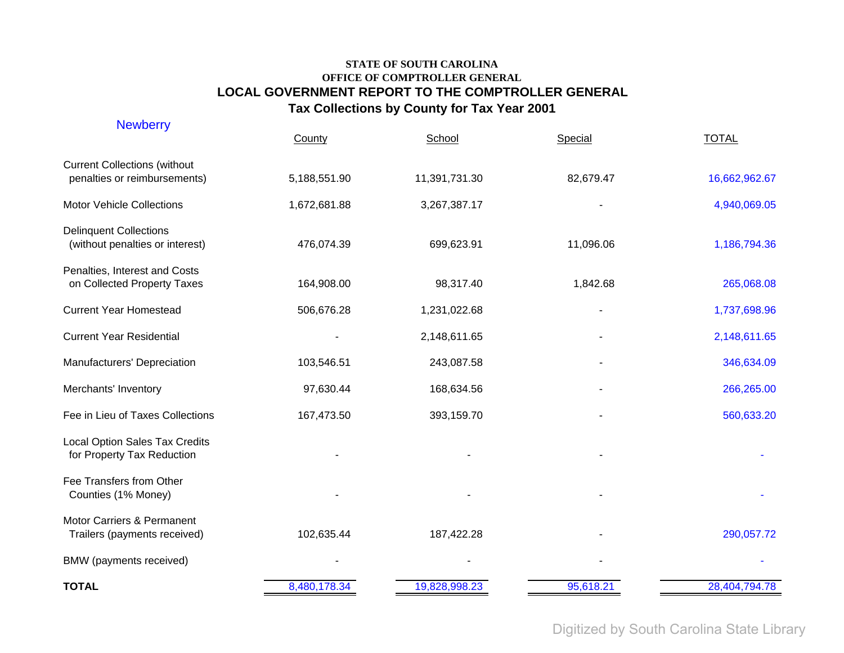| <b>Newberry</b>                                                     | County       | School        | Special   | <b>TOTAL</b>  |
|---------------------------------------------------------------------|--------------|---------------|-----------|---------------|
| <b>Current Collections (without</b><br>penalties or reimbursements) | 5,188,551.90 | 11,391,731.30 | 82,679.47 | 16,662,962.67 |
| <b>Motor Vehicle Collections</b>                                    | 1,672,681.88 | 3,267,387.17  |           | 4,940,069.05  |
| <b>Delinquent Collections</b><br>(without penalties or interest)    | 476,074.39   | 699,623.91    | 11,096.06 | 1,186,794.36  |
| Penalties, Interest and Costs<br>on Collected Property Taxes        | 164,908.00   | 98,317.40     | 1,842.68  | 265,068.08    |
| <b>Current Year Homestead</b>                                       | 506,676.28   | 1,231,022.68  |           | 1,737,698.96  |
| <b>Current Year Residential</b>                                     |              | 2,148,611.65  |           | 2,148,611.65  |
| Manufacturers' Depreciation                                         | 103,546.51   | 243,087.58    |           | 346,634.09    |
| Merchants' Inventory                                                | 97,630.44    | 168,634.56    |           | 266,265.00    |
| Fee in Lieu of Taxes Collections                                    | 167,473.50   | 393,159.70    |           | 560,633.20    |
| <b>Local Option Sales Tax Credits</b><br>for Property Tax Reduction |              |               |           |               |
| Fee Transfers from Other<br>Counties (1% Money)                     |              |               |           |               |
| Motor Carriers & Permanent<br>Trailers (payments received)          | 102,635.44   | 187,422.28    |           | 290,057.72    |
| BMW (payments received)                                             |              |               |           |               |
| <b>TOTAL</b>                                                        | 8,480,178.34 | 19,828,998.23 | 95,618.21 | 28,404,794.78 |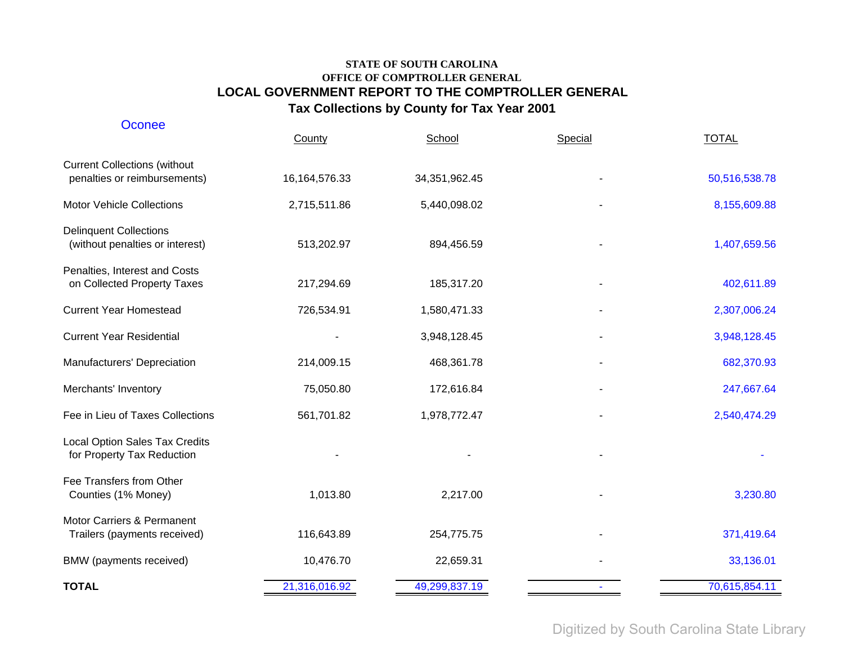| <b>Oconee</b>                                                       | County           | School        | Special | <b>TOTAL</b>  |
|---------------------------------------------------------------------|------------------|---------------|---------|---------------|
| <b>Current Collections (without</b><br>penalties or reimbursements) | 16, 164, 576. 33 | 34,351,962.45 |         | 50,516,538.78 |
| <b>Motor Vehicle Collections</b>                                    | 2,715,511.86     | 5,440,098.02  |         | 8,155,609.88  |
| <b>Delinquent Collections</b><br>(without penalties or interest)    | 513,202.97       | 894,456.59    |         | 1,407,659.56  |
| Penalties, Interest and Costs<br>on Collected Property Taxes        | 217,294.69       | 185,317.20    |         | 402,611.89    |
| <b>Current Year Homestead</b>                                       | 726,534.91       | 1,580,471.33  |         | 2,307,006.24  |
| <b>Current Year Residential</b>                                     |                  | 3,948,128.45  |         | 3,948,128.45  |
| Manufacturers' Depreciation                                         | 214,009.15       | 468,361.78    |         | 682,370.93    |
| Merchants' Inventory                                                | 75,050.80        | 172,616.84    |         | 247,667.64    |
| Fee in Lieu of Taxes Collections                                    | 561,701.82       | 1,978,772.47  |         | 2,540,474.29  |
| Local Option Sales Tax Credits<br>for Property Tax Reduction        |                  |               |         |               |
| Fee Transfers from Other<br>Counties (1% Money)                     | 1,013.80         | 2,217.00      |         | 3,230.80      |
| Motor Carriers & Permanent<br>Trailers (payments received)          | 116,643.89       | 254,775.75    |         | 371,419.64    |
| BMW (payments received)                                             | 10,476.70        | 22,659.31     |         | 33,136.01     |
| <b>TOTAL</b>                                                        | 21,316,016.92    | 49,299,837.19 |         | 70,615,854.11 |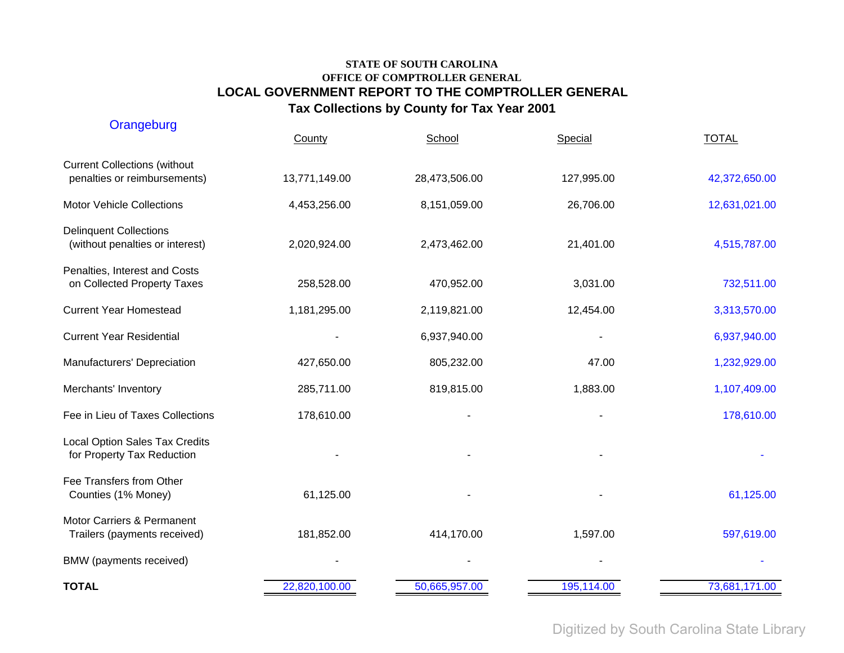| Orangeburg                                                          | County        | School        | Special    | <b>TOTAL</b>  |
|---------------------------------------------------------------------|---------------|---------------|------------|---------------|
| <b>Current Collections (without</b><br>penalties or reimbursements) | 13,771,149.00 | 28,473,506.00 | 127,995.00 | 42,372,650.00 |
| <b>Motor Vehicle Collections</b>                                    | 4,453,256.00  | 8,151,059.00  | 26,706.00  | 12,631,021.00 |
| <b>Delinquent Collections</b><br>(without penalties or interest)    | 2,020,924.00  | 2,473,462.00  | 21,401.00  | 4,515,787.00  |
| Penalties, Interest and Costs<br>on Collected Property Taxes        | 258,528.00    | 470,952.00    | 3,031.00   | 732,511.00    |
| <b>Current Year Homestead</b>                                       | 1,181,295.00  | 2,119,821.00  | 12,454.00  | 3,313,570.00  |
| <b>Current Year Residential</b>                                     |               | 6,937,940.00  |            | 6,937,940.00  |
| Manufacturers' Depreciation                                         | 427,650.00    | 805,232.00    | 47.00      | 1,232,929.00  |
| Merchants' Inventory                                                | 285,711.00    | 819,815.00    | 1,883.00   | 1,107,409.00  |
| Fee in Lieu of Taxes Collections                                    | 178,610.00    |               |            | 178,610.00    |
| Local Option Sales Tax Credits<br>for Property Tax Reduction        |               |               |            |               |
| Fee Transfers from Other<br>Counties (1% Money)                     | 61,125.00     |               |            | 61,125.00     |
| Motor Carriers & Permanent<br>Trailers (payments received)          | 181,852.00    | 414,170.00    | 1,597.00   | 597,619.00    |
| BMW (payments received)                                             |               |               |            |               |
| <b>TOTAL</b>                                                        | 22,820,100.00 | 50,665,957.00 | 195,114.00 | 73,681,171.00 |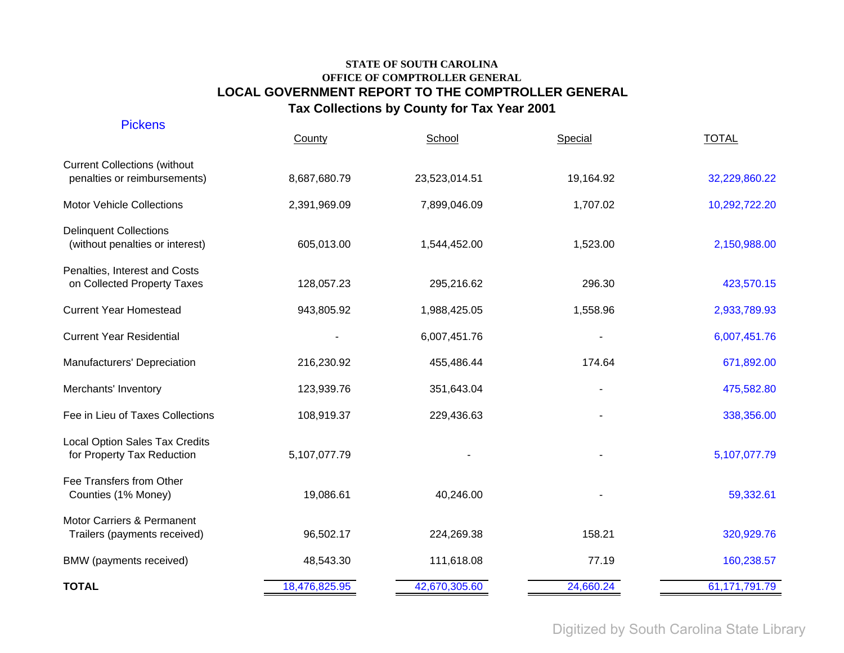| <b>Pickens</b>                                                      | County        | School        | Special   | <b>TOTAL</b>  |
|---------------------------------------------------------------------|---------------|---------------|-----------|---------------|
| <b>Current Collections (without</b><br>penalties or reimbursements) | 8,687,680.79  | 23,523,014.51 | 19,164.92 | 32,229,860.22 |
| <b>Motor Vehicle Collections</b>                                    | 2,391,969.09  | 7,899,046.09  | 1,707.02  | 10,292,722.20 |
| <b>Delinquent Collections</b><br>(without penalties or interest)    | 605,013.00    | 1,544,452.00  | 1,523.00  | 2,150,988.00  |
| Penalties, Interest and Costs<br>on Collected Property Taxes        | 128,057.23    | 295,216.62    | 296.30    | 423,570.15    |
| <b>Current Year Homestead</b>                                       | 943,805.92    | 1,988,425.05  | 1,558.96  | 2,933,789.93  |
| <b>Current Year Residential</b>                                     |               | 6,007,451.76  |           | 6,007,451.76  |
| Manufacturers' Depreciation                                         | 216,230.92    | 455,486.44    | 174.64    | 671,892.00    |
| Merchants' Inventory                                                | 123,939.76    | 351,643.04    |           | 475,582.80    |
| Fee in Lieu of Taxes Collections                                    | 108,919.37    | 229,436.63    |           | 338,356.00    |
| <b>Local Option Sales Tax Credits</b><br>for Property Tax Reduction | 5,107,077.79  |               |           | 5,107,077.79  |
| Fee Transfers from Other<br>Counties (1% Money)                     | 19,086.61     | 40,246.00     |           | 59,332.61     |
| Motor Carriers & Permanent<br>Trailers (payments received)          | 96,502.17     | 224,269.38    | 158.21    | 320,929.76    |
| BMW (payments received)                                             | 48,543.30     | 111,618.08    | 77.19     | 160,238.57    |
| <b>TOTAL</b>                                                        | 18,476,825.95 | 42,670,305.60 | 24,660.24 | 61,171,791.79 |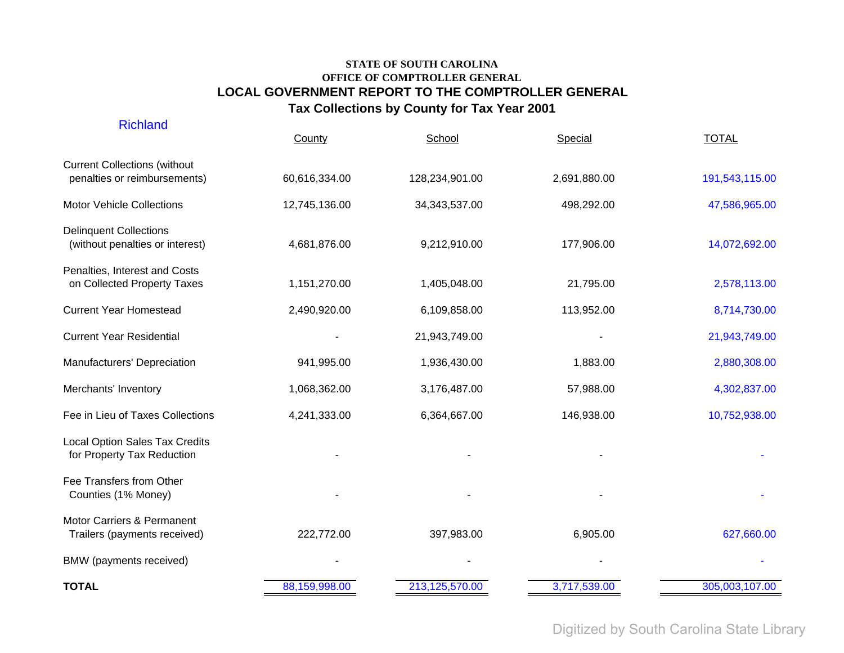| <b>TOTAL</b>                                                        | 88,159,998.00 | 213,125,570.00  | 3,717,539.00 | 305,003,107.00 |
|---------------------------------------------------------------------|---------------|-----------------|--------------|----------------|
| BMW (payments received)                                             |               |                 |              |                |
| Motor Carriers & Permanent<br>Trailers (payments received)          | 222,772.00    | 397,983.00      | 6,905.00     | 627,660.00     |
| Fee Transfers from Other<br>Counties (1% Money)                     |               |                 |              |                |
| <b>Local Option Sales Tax Credits</b><br>for Property Tax Reduction |               |                 |              |                |
| Fee in Lieu of Taxes Collections                                    | 4,241,333.00  | 6,364,667.00    | 146,938.00   | 10,752,938.00  |
| Merchants' Inventory                                                | 1,068,362.00  | 3,176,487.00    | 57,988.00    | 4,302,837.00   |
| Manufacturers' Depreciation                                         | 941,995.00    | 1,936,430.00    | 1,883.00     | 2,880,308.00   |
| <b>Current Year Residential</b>                                     |               | 21,943,749.00   |              | 21,943,749.00  |
| <b>Current Year Homestead</b>                                       | 2,490,920.00  | 6,109,858.00    | 113,952.00   | 8,714,730.00   |
| Penalties, Interest and Costs<br>on Collected Property Taxes        | 1,151,270.00  | 1,405,048.00    | 21,795.00    | 2,578,113.00   |
| <b>Delinquent Collections</b><br>(without penalties or interest)    | 4,681,876.00  | 9,212,910.00    | 177,906.00   | 14,072,692.00  |
| <b>Motor Vehicle Collections</b>                                    | 12,745,136.00 | 34, 343, 537.00 | 498,292.00   | 47,586,965.00  |
| <b>Current Collections (without</b><br>penalties or reimbursements) | 60,616,334.00 | 128,234,901.00  | 2,691,880.00 | 191,543,115.00 |
| <b>Richland</b>                                                     | County        | School          | Special      | <b>TOTAL</b>   |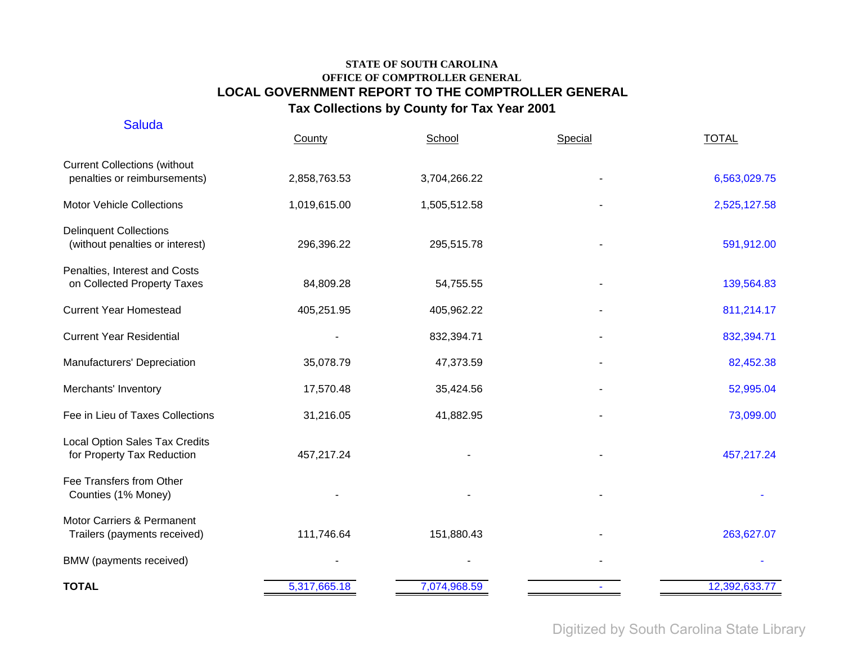| <b>Saluda</b>                                                       | County       | School       | Special | <b>TOTAL</b>  |
|---------------------------------------------------------------------|--------------|--------------|---------|---------------|
| <b>Current Collections (without</b><br>penalties or reimbursements) | 2,858,763.53 | 3,704,266.22 |         | 6,563,029.75  |
| <b>Motor Vehicle Collections</b>                                    | 1,019,615.00 | 1,505,512.58 |         | 2,525,127.58  |
| <b>Delinquent Collections</b><br>(without penalties or interest)    | 296,396.22   | 295,515.78   |         | 591,912.00    |
| Penalties, Interest and Costs<br>on Collected Property Taxes        | 84,809.28    | 54,755.55    |         | 139,564.83    |
| <b>Current Year Homestead</b>                                       | 405,251.95   | 405,962.22   |         | 811,214.17    |
| <b>Current Year Residential</b>                                     |              | 832,394.71   |         | 832,394.71    |
| Manufacturers' Depreciation                                         | 35,078.79    | 47,373.59    |         | 82,452.38     |
| Merchants' Inventory                                                | 17,570.48    | 35,424.56    |         | 52,995.04     |
| Fee in Lieu of Taxes Collections                                    | 31,216.05    | 41,882.95    |         | 73,099.00     |
| Local Option Sales Tax Credits<br>for Property Tax Reduction        | 457,217.24   |              |         | 457,217.24    |
| Fee Transfers from Other<br>Counties (1% Money)                     |              |              |         |               |
| Motor Carriers & Permanent<br>Trailers (payments received)          | 111,746.64   | 151,880.43   |         | 263,627.07    |
| BMW (payments received)                                             |              |              |         |               |
| <b>TOTAL</b>                                                        | 5,317,665.18 | 7,074,968.59 |         | 12,392,633.77 |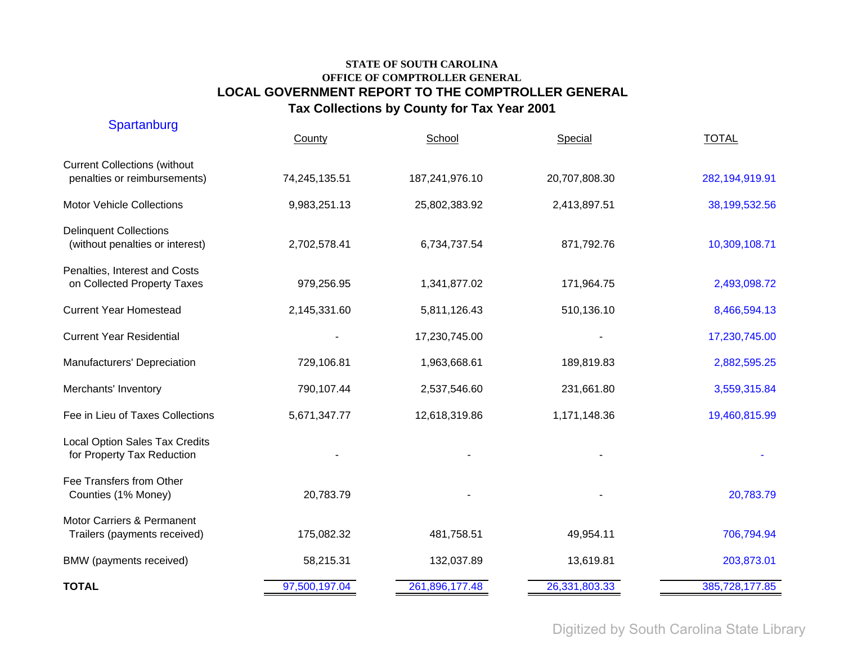| Spartanburg                                                         | County        | School         | Special       | <b>TOTAL</b>   |
|---------------------------------------------------------------------|---------------|----------------|---------------|----------------|
| <b>Current Collections (without</b><br>penalties or reimbursements) | 74,245,135.51 | 187,241,976.10 | 20,707,808.30 | 282,194,919.91 |
| <b>Motor Vehicle Collections</b>                                    | 9,983,251.13  | 25,802,383.92  | 2,413,897.51  | 38,199,532.56  |
| <b>Delinquent Collections</b><br>(without penalties or interest)    | 2,702,578.41  | 6,734,737.54   | 871,792.76    | 10,309,108.71  |
| Penalties, Interest and Costs<br>on Collected Property Taxes        | 979,256.95    | 1,341,877.02   | 171,964.75    | 2,493,098.72   |
| <b>Current Year Homestead</b>                                       | 2,145,331.60  | 5,811,126.43   | 510,136.10    | 8,466,594.13   |
| <b>Current Year Residential</b>                                     |               | 17,230,745.00  |               | 17,230,745.00  |
| Manufacturers' Depreciation                                         | 729,106.81    | 1,963,668.61   | 189,819.83    | 2,882,595.25   |
| Merchants' Inventory                                                | 790,107.44    | 2,537,546.60   | 231,661.80    | 3,559,315.84   |
| Fee in Lieu of Taxes Collections                                    | 5,671,347.77  | 12,618,319.86  | 1,171,148.36  | 19,460,815.99  |
| <b>Local Option Sales Tax Credits</b><br>for Property Tax Reduction |               |                |               |                |
| Fee Transfers from Other<br>Counties (1% Money)                     | 20,783.79     |                |               | 20,783.79      |
| Motor Carriers & Permanent<br>Trailers (payments received)          | 175,082.32    | 481,758.51     | 49,954.11     | 706,794.94     |
| BMW (payments received)                                             | 58,215.31     | 132,037.89     | 13,619.81     | 203,873.01     |
| <b>TOTAL</b>                                                        | 97,500,197.04 | 261,896,177.48 | 26,331,803.33 | 385,728,177.85 |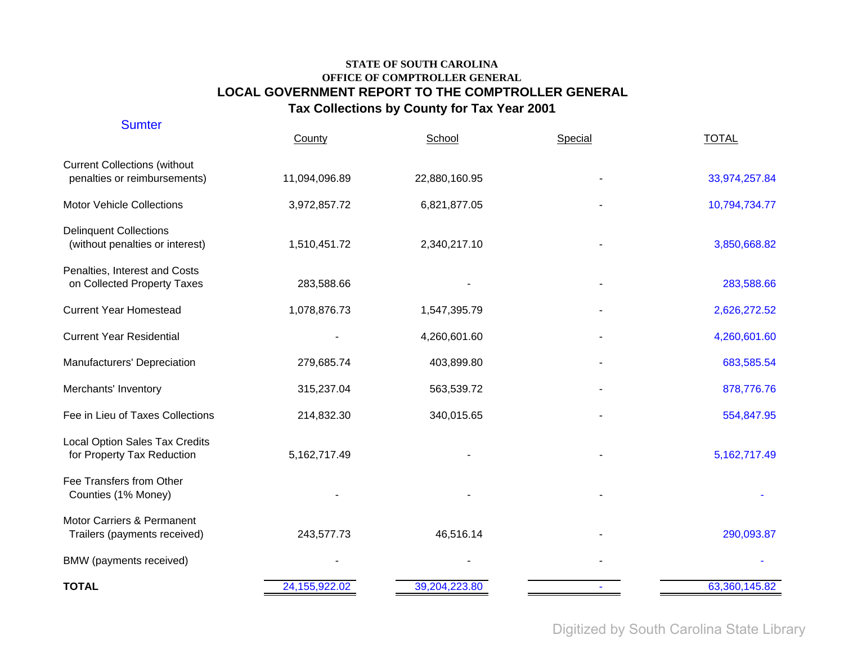| <b>Sumter</b>                                                       | County        | School        | Special | <b>TOTAL</b>    |
|---------------------------------------------------------------------|---------------|---------------|---------|-----------------|
| <b>Current Collections (without</b><br>penalties or reimbursements) | 11,094,096.89 | 22,880,160.95 |         | 33,974,257.84   |
| <b>Motor Vehicle Collections</b>                                    | 3,972,857.72  | 6,821,877.05  |         | 10,794,734.77   |
| <b>Delinquent Collections</b><br>(without penalties or interest)    | 1,510,451.72  | 2,340,217.10  |         | 3,850,668.82    |
| Penalties, Interest and Costs<br>on Collected Property Taxes        | 283,588.66    |               |         | 283,588.66      |
| <b>Current Year Homestead</b>                                       | 1,078,876.73  | 1,547,395.79  |         | 2,626,272.52    |
| <b>Current Year Residential</b>                                     |               | 4,260,601.60  |         | 4,260,601.60    |
| Manufacturers' Depreciation                                         | 279,685.74    | 403,899.80    |         | 683,585.54      |
| Merchants' Inventory                                                | 315,237.04    | 563,539.72    |         | 878,776.76      |
| Fee in Lieu of Taxes Collections                                    | 214,832.30    | 340,015.65    |         | 554,847.95      |
| Local Option Sales Tax Credits<br>for Property Tax Reduction        | 5,162,717.49  |               |         | 5, 162, 717. 49 |
| Fee Transfers from Other<br>Counties (1% Money)                     |               |               |         |                 |
| Motor Carriers & Permanent<br>Trailers (payments received)          | 243,577.73    | 46,516.14     |         | 290,093.87      |
| BMW (payments received)                                             |               |               |         |                 |
| <b>TOTAL</b>                                                        | 24,155,922.02 | 39,204,223.80 |         | 63,360,145.82   |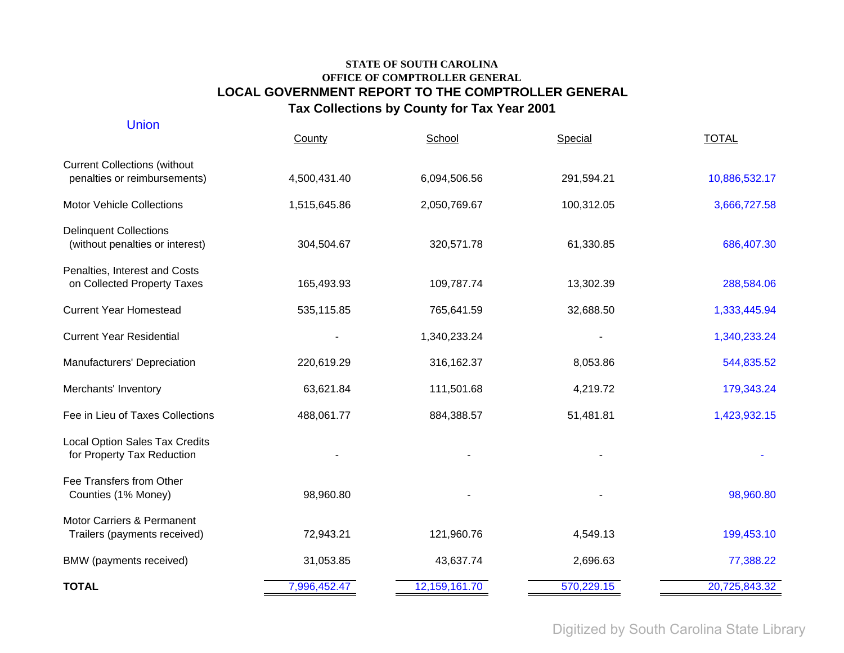| <b>Union</b>                                                        | County       | School        | Special    | <b>TOTAL</b>  |
|---------------------------------------------------------------------|--------------|---------------|------------|---------------|
| <b>Current Collections (without</b><br>penalties or reimbursements) | 4,500,431.40 | 6,094,506.56  | 291,594.21 | 10,886,532.17 |
| <b>Motor Vehicle Collections</b>                                    | 1,515,645.86 | 2,050,769.67  | 100,312.05 | 3,666,727.58  |
| <b>Delinquent Collections</b><br>(without penalties or interest)    | 304,504.67   | 320,571.78    | 61,330.85  | 686,407.30    |
| Penalties, Interest and Costs<br>on Collected Property Taxes        | 165,493.93   | 109,787.74    | 13,302.39  | 288,584.06    |
| <b>Current Year Homestead</b>                                       | 535,115.85   | 765,641.59    | 32,688.50  | 1,333,445.94  |
| <b>Current Year Residential</b>                                     |              | 1,340,233.24  |            | 1,340,233.24  |
| Manufacturers' Depreciation                                         | 220,619.29   | 316, 162.37   | 8,053.86   | 544,835.52    |
| Merchants' Inventory                                                | 63,621.84    | 111,501.68    | 4,219.72   | 179,343.24    |
| Fee in Lieu of Taxes Collections                                    | 488,061.77   | 884,388.57    | 51,481.81  | 1,423,932.15  |
| Local Option Sales Tax Credits<br>for Property Tax Reduction        |              |               |            |               |
| Fee Transfers from Other<br>Counties (1% Money)                     | 98,960.80    |               |            | 98,960.80     |
| Motor Carriers & Permanent<br>Trailers (payments received)          | 72,943.21    | 121,960.76    | 4,549.13   | 199,453.10    |
| BMW (payments received)                                             | 31,053.85    | 43,637.74     | 2,696.63   | 77,388.22     |
| <b>TOTAL</b>                                                        | 7,996,452.47 | 12,159,161.70 | 570,229.15 | 20,725,843.32 |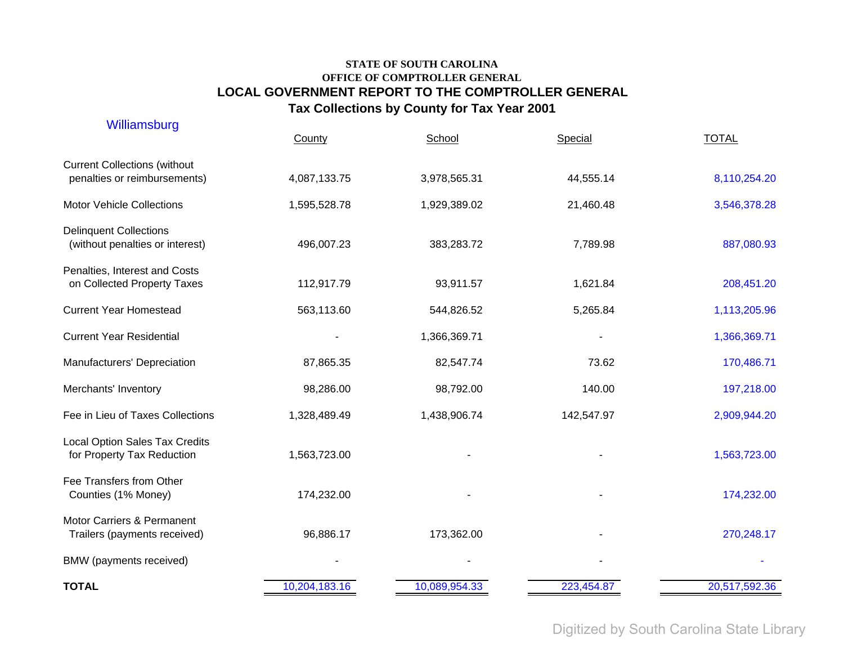| Williamsburg                                                        | County        | School        | Special    | <b>TOTAL</b>  |
|---------------------------------------------------------------------|---------------|---------------|------------|---------------|
| <b>Current Collections (without</b><br>penalties or reimbursements) | 4,087,133.75  | 3,978,565.31  | 44,555.14  | 8,110,254.20  |
| <b>Motor Vehicle Collections</b>                                    | 1,595,528.78  | 1,929,389.02  | 21,460.48  | 3,546,378.28  |
| <b>Delinquent Collections</b><br>(without penalties or interest)    | 496,007.23    | 383,283.72    | 7,789.98   | 887,080.93    |
| Penalties, Interest and Costs<br>on Collected Property Taxes        | 112,917.79    | 93,911.57     | 1,621.84   | 208,451.20    |
| <b>Current Year Homestead</b>                                       | 563,113.60    | 544,826.52    | 5,265.84   | 1,113,205.96  |
| <b>Current Year Residential</b>                                     |               | 1,366,369.71  |            | 1,366,369.71  |
| Manufacturers' Depreciation                                         | 87,865.35     | 82,547.74     | 73.62      | 170,486.71    |
| Merchants' Inventory                                                | 98,286.00     | 98,792.00     | 140.00     | 197,218.00    |
| Fee in Lieu of Taxes Collections                                    | 1,328,489.49  | 1,438,906.74  | 142,547.97 | 2,909,944.20  |
| <b>Local Option Sales Tax Credits</b><br>for Property Tax Reduction | 1,563,723.00  |               |            | 1,563,723.00  |
| Fee Transfers from Other<br>Counties (1% Money)                     | 174,232.00    |               |            | 174,232.00    |
| Motor Carriers & Permanent<br>Trailers (payments received)          | 96,886.17     | 173,362.00    |            | 270,248.17    |
| BMW (payments received)                                             |               |               |            |               |
| <b>TOTAL</b>                                                        | 10,204,183.16 | 10,089,954.33 | 223,454.87 | 20,517,592.36 |